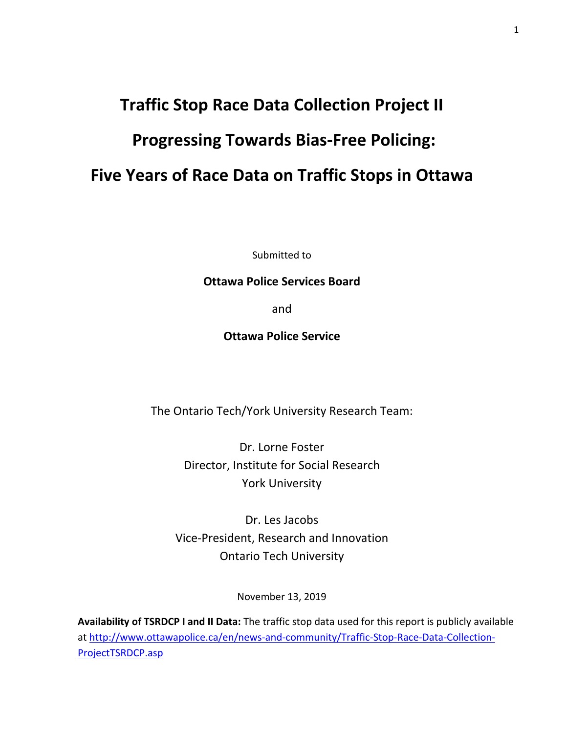# **Traffic Stop Race Data Collection Project II Progressing Towards Bias-Free Policing: Five Years of Race Data on Traffic Stops in Ottawa**

Submitted to

#### **Ottawa Police Services Board**

and

**Ottawa Police Service**

The Ontario Tech/York University Research Team:

Dr. Lorne Foster Director, Institute for Social Research York University

Dr. Les Jacobs Vice-President, Research and Innovation Ontario Tech University

November 13, 2019

**Availability of TSRDCP I and II Data:** The traffic stop data used for this report is publicly available at [http://www.ottawapolice.ca/en/news-and-community/Traffic-Stop-Race-Data-Collection-](http://www.ottawapolice.ca/en/news-and-community/Traffic-Stop-Race-Data-Collection-ProjectTSRDCP.asp)[ProjectTSRDCP.asp](http://www.ottawapolice.ca/en/news-and-community/Traffic-Stop-Race-Data-Collection-ProjectTSRDCP.asp)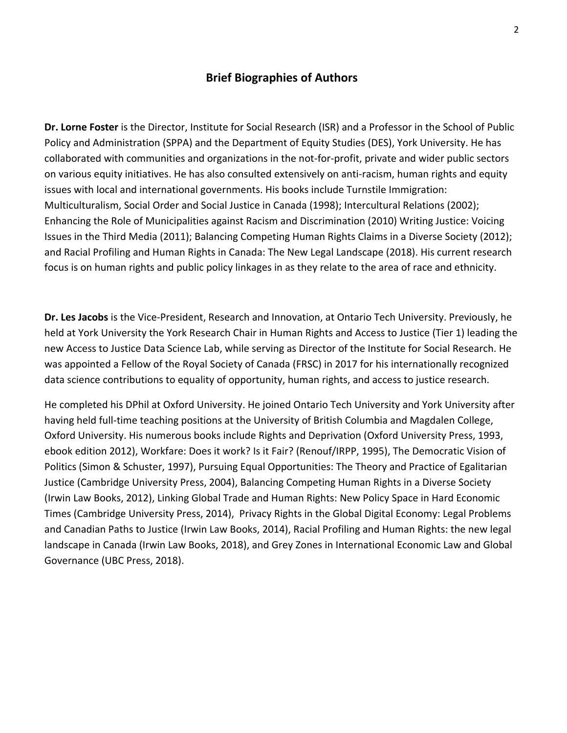#### **Brief Biographies of Authors**

**Dr. Lorne Foster** is the Director, Institute for Social Research (ISR) and a Professor in the School of Public Policy and Administration (SPPA) and the Department of Equity Studies (DES), York University. He has collaborated with communities and organizations in the not-for-profit, private and wider public sectors on various equity initiatives. He has also consulted extensively on anti-racism, human rights and equity issues with local and international governments. His books include Turnstile Immigration: Multiculturalism, Social Order and Social Justice in Canada (1998); Intercultural Relations (2002); Enhancing the Role of Municipalities against Racism and Discrimination (2010) Writing Justice: Voicing Issues in the Third Media (2011); Balancing Competing Human Rights Claims in a Diverse Society (2012); and Racial Profiling and Human Rights in Canada: The New Legal Landscape (2018). His current research focus is on human rights and public policy linkages in as they relate to the area of race and ethnicity.

**Dr. Les Jacobs** is the Vice-President, Research and Innovation, at Ontario Tech University. Previously, he held at York University the York Research Chair in Human Rights and Access to Justice (Tier 1) leading the new Access to Justice Data Science Lab, while serving as Director of the Institute for Social Research. He was appointed a Fellow of the Royal Society of Canada (FRSC) in 2017 for his internationally recognized data science contributions to equality of opportunity, human rights, and access to justice research.

He completed his DPhil at Oxford University. He joined Ontario Tech University and York University after having held full-time teaching positions at the University of British Columbia and Magdalen College, Oxford University. His numerous books include Rights and Deprivation (Oxford University Press, 1993, ebook edition 2012), Workfare: Does it work? Is it Fair? (Renouf/IRPP, 1995), The Democratic Vision of Politics (Simon & Schuster, 1997), Pursuing Equal Opportunities: The Theory and Practice of Egalitarian Justice (Cambridge University Press, 2004), Balancing Competing Human Rights in a Diverse Society (Irwin Law Books, 2012), Linking Global Trade and Human Rights: New Policy Space in Hard Economic Times (Cambridge University Press, 2014), Privacy Rights in the Global Digital Economy: Legal Problems and Canadian Paths to Justice (Irwin Law Books, 2014), Racial Profiling and Human Rights: the new legal landscape in Canada (Irwin Law Books, 2018), and Grey Zones in International Economic Law and Global Governance (UBC Press, 2018).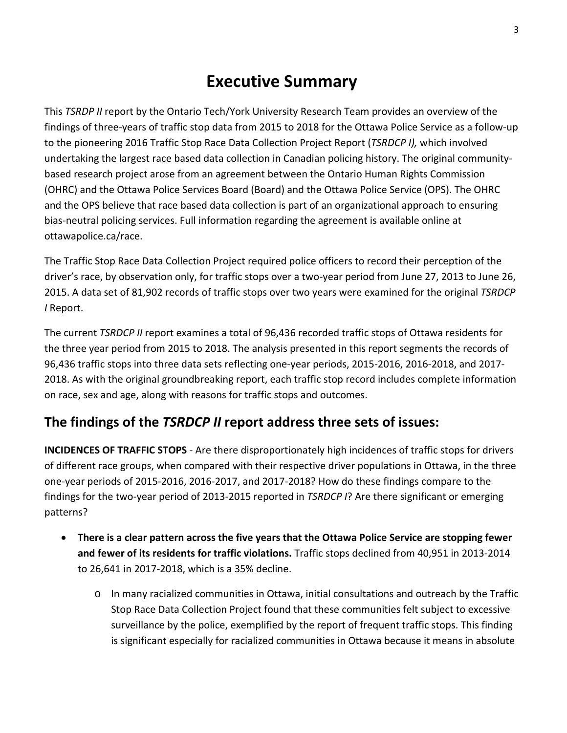## **Executive Summary**

This *TSRDP II* report by the Ontario Tech/York University Research Team provides an overview of the findings of three-years of traffic stop data from 2015 to 2018 for the Ottawa Police Service as a follow-up to the pioneering 2016 Traffic Stop Race Data Collection Project Report (*TSRDCP I),* which involved undertaking the largest race based data collection in Canadian policing history. The original communitybased research project arose from an agreement between the Ontario Human Rights Commission (OHRC) and the Ottawa Police Services Board (Board) and the Ottawa Police Service (OPS). The OHRC and the OPS believe that race based data collection is part of an organizational approach to ensuring bias-neutral policing services. Full information regarding the agreement is available online at ottawapolice.ca/race.

The Traffic Stop Race Data Collection Project required police officers to record their perception of the driver's race, by observation only, for traffic stops over a two-year period from June 27, 2013 to June 26, 2015. A data set of 81,902 records of traffic stops over two years were examined for the original *TSRDCP I* Report.

The current *TSRDCP II* report examines a total of 96,436 recorded traffic stops of Ottawa residents for the three year period from 2015 to 2018. The analysis presented in this report segments the records of 96,436 traffic stops into three data sets reflecting one-year periods, 2015-2016, 2016-2018, and 2017- 2018. As with the original groundbreaking report, each traffic stop record includes complete information on race, sex and age, along with reasons for traffic stops and outcomes.

## **The findings of the** *TSRDCP II* **report address three sets of issues:**

**INCIDENCES OF TRAFFIC STOPS** - Are there disproportionately high incidences of traffic stops for drivers of different race groups, when compared with their respective driver populations in Ottawa, in the three one-year periods of 2015-2016, 2016-2017, and 2017-2018? How do these findings compare to the findings for the two-year period of 2013-2015 reported in *TSRDCP I*? Are there significant or emerging patterns?

- **There is a clear pattern across the five years that the Ottawa Police Service are stopping fewer and fewer of its residents for traffic violations.** Traffic stops declined from 40,951 in 2013-2014 to 26,641 in 2017-2018, which is a 35% decline.
	- o In many racialized communities in Ottawa, initial consultations and outreach by the Traffic Stop Race Data Collection Project found that these communities felt subject to excessive surveillance by the police, exemplified by the report of frequent traffic stops. This finding is significant especially for racialized communities in Ottawa because it means in absolute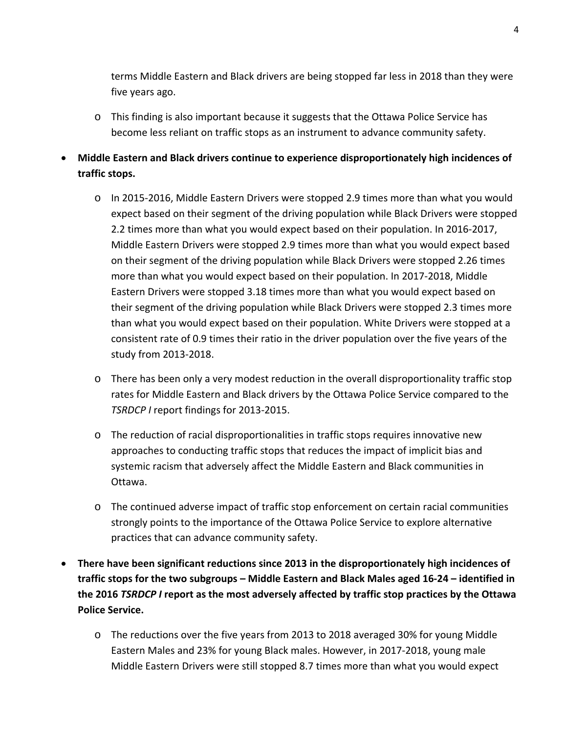terms Middle Eastern and Black drivers are being stopped far less in 2018 than they were five years ago.

- o This finding is also important because it suggests that the Ottawa Police Service has become less reliant on traffic stops as an instrument to advance community safety.
- **Middle Eastern and Black drivers continue to experience disproportionately high incidences of traffic stops.** 
	- o In 2015-2016, Middle Eastern Drivers were stopped 2.9 times more than what you would expect based on their segment of the driving population while Black Drivers were stopped 2.2 times more than what you would expect based on their population. In 2016-2017, Middle Eastern Drivers were stopped 2.9 times more than what you would expect based on their segment of the driving population while Black Drivers were stopped 2.26 times more than what you would expect based on their population. In 2017-2018, Middle Eastern Drivers were stopped 3.18 times more than what you would expect based on their segment of the driving population while Black Drivers were stopped 2.3 times more than what you would expect based on their population. White Drivers were stopped at a consistent rate of 0.9 times their ratio in the driver population over the five years of the study from 2013-2018.
	- o There has been only a very modest reduction in the overall disproportionality traffic stop rates for Middle Eastern and Black drivers by the Ottawa Police Service compared to the *TSRDCP I* report findings for 2013-2015.
	- o The reduction of racial disproportionalities in traffic stops requires innovative new approaches to conducting traffic stops that reduces the impact of implicit bias and systemic racism that adversely affect the Middle Eastern and Black communities in Ottawa.
	- o The continued adverse impact of traffic stop enforcement on certain racial communities strongly points to the importance of the Ottawa Police Service to explore alternative practices that can advance community safety.
- **There have been significant reductions since 2013 in the disproportionately high incidences of traffic stops for the two subgroups – Middle Eastern and Black Males aged 16-24 – identified in the 2016** *TSRDCP I* **report as the most adversely affected by traffic stop practices by the Ottawa Police Service.** 
	- o The reductions over the five years from 2013 to 2018 averaged 30% for young Middle Eastern Males and 23% for young Black males. However, in 2017-2018, young male Middle Eastern Drivers were still stopped 8.7 times more than what you would expect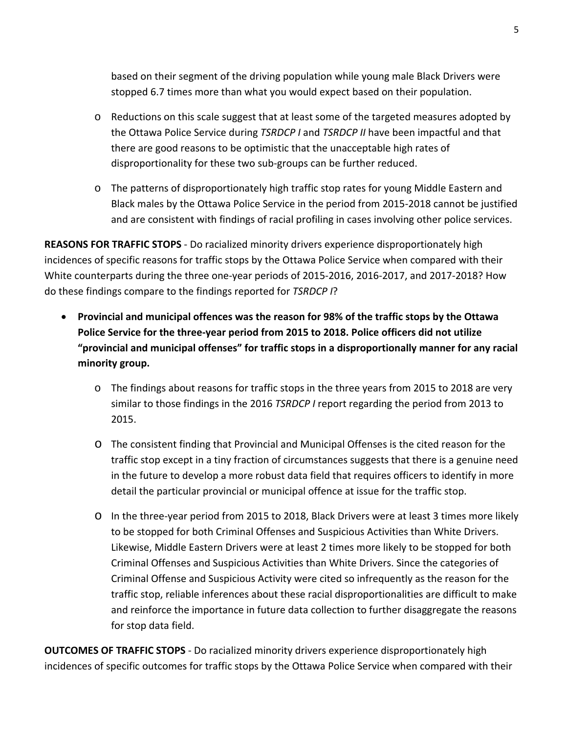based on their segment of the driving population while young male Black Drivers were stopped 6.7 times more than what you would expect based on their population.

- o Reductions on this scale suggest that at least some of the targeted measures adopted by the Ottawa Police Service during *TSRDCP I* and *TSRDCP II* have been impactful and that there are good reasons to be optimistic that the unacceptable high rates of disproportionality for these two sub-groups can be further reduced.
- o The patterns of disproportionately high traffic stop rates for young Middle Eastern and Black males by the Ottawa Police Service in the period from 2015-2018 cannot be justified and are consistent with findings of racial profiling in cases involving other police services.

**REASONS FOR TRAFFIC STOPS** - Do racialized minority drivers experience disproportionately high incidences of specific reasons for traffic stops by the Ottawa Police Service when compared with their White counterparts during the three one-year periods of 2015-2016, 2016-2017, and 2017-2018? How do these findings compare to the findings reported for *TSRDCP I*?

- **Provincial and municipal offences was the reason for 98% of the traffic stops by the Ottawa Police Service for the three-year period from 2015 to 2018. Police officers did not utilize "provincial and municipal offenses" for traffic stops in a disproportionally manner for any racial minority group.**
	- o The findings about reasons for traffic stops in the three years from 2015 to 2018 are very similar to those findings in the 2016 *TSRDCP I* report regarding the period from 2013 to 2015.
	- o The consistent finding that Provincial and Municipal Offenses is the cited reason for the traffic stop except in a tiny fraction of circumstances suggests that there is a genuine need in the future to develop a more robust data field that requires officers to identify in more detail the particular provincial or municipal offence at issue for the traffic stop.
	- o In the three-year period from 2015 to 2018, Black Drivers were at least 3 times more likely to be stopped for both Criminal Offenses and Suspicious Activities than White Drivers. Likewise, Middle Eastern Drivers were at least 2 times more likely to be stopped for both Criminal Offenses and Suspicious Activities than White Drivers. Since the categories of Criminal Offense and Suspicious Activity were cited so infrequently as the reason for the traffic stop, reliable inferences about these racial disproportionalities are difficult to make and reinforce the importance in future data collection to further disaggregate the reasons for stop data field.

**OUTCOMES OF TRAFFIC STOPS** - Do racialized minority drivers experience disproportionately high incidences of specific outcomes for traffic stops by the Ottawa Police Service when compared with their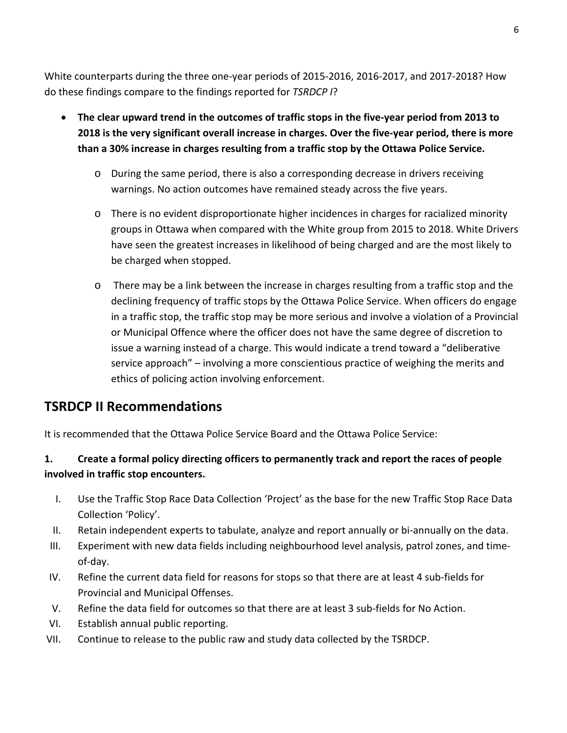White counterparts during the three one-year periods of 2015-2016, 2016-2017, and 2017-2018? How do these findings compare to the findings reported for *TSRDCP I*?

- **The clear upward trend in the outcomes of traffic stops in the five-year period from 2013 to 2018 is the very significant overall increase in charges. Over the five-year period, there is more than a 30% increase in charges resulting from a traffic stop by the Ottawa Police Service.**
	- o During the same period, there is also a corresponding decrease in drivers receiving warnings. No action outcomes have remained steady across the five years.
	- o There is no evident disproportionate higher incidences in charges for racialized minority groups in Ottawa when compared with the White group from 2015 to 2018. White Drivers have seen the greatest increases in likelihood of being charged and are the most likely to be charged when stopped.
	- o There may be a link between the increase in charges resulting from a traffic stop and the declining frequency of traffic stops by the Ottawa Police Service. When officers do engage in a traffic stop, the traffic stop may be more serious and involve a violation of a Provincial or Municipal Offence where the officer does not have the same degree of discretion to issue a warning instead of a charge. This would indicate a trend toward a "deliberative service approach" – involving a more conscientious practice of weighing the merits and ethics of policing action involving enforcement.

## **TSRDCP II Recommendations**

It is recommended that the Ottawa Police Service Board and the Ottawa Police Service:

## **1. Create a formal policy directing officers to permanently track and report the races of people involved in traffic stop encounters.**

- I. Use the Traffic Stop Race Data Collection 'Project' as the base for the new Traffic Stop Race Data Collection 'Policy'.
- II. Retain independent experts to tabulate, analyze and report annually or bi-annually on the data.
- III. Experiment with new data fields including neighbourhood level analysis, patrol zones, and timeof-day.
- IV. Refine the current data field for reasons for stops so that there are at least 4 sub-fields for Provincial and Municipal Offenses.
- V. Refine the data field for outcomes so that there are at least 3 sub-fields for No Action.
- VI. Establish annual public reporting.
- VII. Continue to release to the public raw and study data collected by the TSRDCP.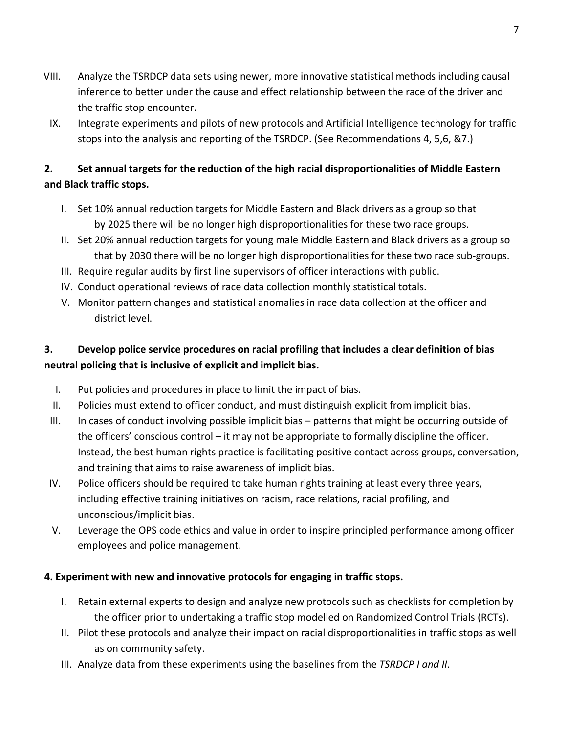- VIII. Analyze the TSRDCP data sets using newer, more innovative statistical methods including causal inference to better under the cause and effect relationship between the race of the driver and the traffic stop encounter.
- IX. Integrate experiments and pilots of new protocols and Artificial Intelligence technology for traffic stops into the analysis and reporting of the TSRDCP. (See Recommendations 4, 5,6, &7.)

## **2. Set annual targets for the reduction of the high racial disproportionalities of Middle Eastern and Black traffic stops.**

- I. Set 10% annual reduction targets for Middle Eastern and Black drivers as a group so that by 2025 there will be no longer high disproportionalities for these two race groups.
- II. Set 20% annual reduction targets for young male Middle Eastern and Black drivers as a group so that by 2030 there will be no longer high disproportionalities for these two race sub-groups.
- III. Require regular audits by first line supervisors of officer interactions with public.
- IV. Conduct operational reviews of race data collection monthly statistical totals.
- V. Monitor pattern changes and statistical anomalies in race data collection at the officer and district level.

## **3. Develop police service procedures on racial profiling that includes a clear definition of bias neutral policing that is inclusive of explicit and implicit bias.**

- I. Put policies and procedures in place to limit the impact of bias.
- II. Policies must extend to officer conduct, and must distinguish explicit from implicit bias.
- III. In cases of conduct involving possible implicit bias patterns that might be occurring outside of the officers' conscious control – it may not be appropriate to formally discipline the officer. Instead, the best human rights practice is facilitating positive contact across groups, conversation, and training that aims to raise awareness of implicit bias.
- IV. Police officers should be required to take human rights training at least every three years, including effective training initiatives on racism, race relations, racial profiling, and unconscious/implicit bias.
- V. Leverage the OPS code ethics and value in order to inspire principled performance among officer employees and police management.

#### **4. Experiment with new and innovative protocols for engaging in traffic stops.**

- I. Retain external experts to design and analyze new protocols such as checklists for completion by the officer prior to undertaking a traffic stop modelled on Randomized Control Trials (RCTs).
- II. Pilot these protocols and analyze their impact on racial disproportionalities in traffic stops as well as on community safety.
- III. Analyze data from these experiments using the baselines from the *TSRDCP I and II*.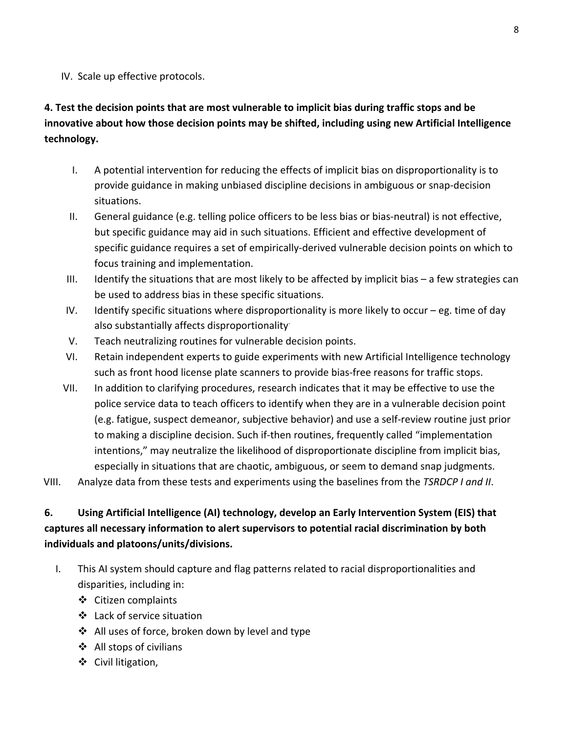IV. Scale up effective protocols.

## **4. Test the decision points that are most vulnerable to implicit bias during traffic stops and be innovative about how those decision points may be shifted, including using new Artificial Intelligence technology.**

- I. A potential intervention for reducing the effects of implicit bias on disproportionality is to provide guidance in making unbiased discipline decisions in ambiguous or snap-decision situations.
- II. General guidance (e.g. telling police officers to be less bias or bias-neutral) is not effective, but specific guidance may aid in such situations. Efficient and effective development of specific guidance requires a set of empirically-derived vulnerable decision points on which to focus training and implementation.
- III. Identify the situations that are most likely to be affected by implicit bias  $-$  a few strategies can be used to address bias in these specific situations.
- IV. Identify specific situations where disproportionality is more likely to occur eg. time of day also substantially affects disproportionality.
- V. Teach neutralizing routines for vulnerable decision points.
- VI. Retain independent experts to guide experiments with new Artificial Intelligence technology such as front hood license plate scanners to provide bias-free reasons for traffic stops.
- VII. In addition to clarifying procedures, research indicates that it may be effective to use the police service data to teach officers to identify when they are in a vulnerable decision point (e.g. fatigue, suspect demeanor, subjective behavior) and use a self-review routine just prior to making a discipline decision. Such if-then routines, frequently called "implementation intentions," may neutralize the likelihood of disproportionate discipline from implicit bias, especially in situations that are chaotic, ambiguous, or seem to demand snap judgments.
- VIII. Analyze data from these tests and experiments using the baselines from the *TSRDCP I and II*.

## **6. Using Artificial Intelligence (AI) technology, develop an Early Intervention System (EIS) that captures all necessary information to alert supervisors to potential racial discrimination by both individuals and platoons/units/divisions.**

- I. This AI system should capture and flag patterns related to racial disproportionalities and disparities, including in:
	- Citizen complaints
	- Lack of service situation
	- $\triangleleft$  All uses of force, broken down by level and type
	- ❖ All stops of civilians
	- Civil litigation,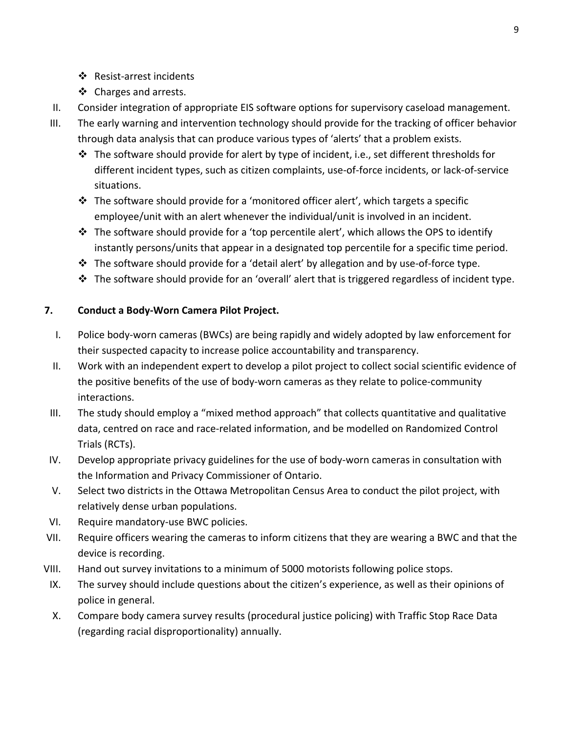- ❖ Resist-arrest incidents
- ❖ Charges and arrests.
- II. Consider integration of appropriate EIS software options for supervisory caseload management.
- III. The early warning and intervention technology should provide for the tracking of officer behavior through data analysis that can produce various types of 'alerts' that a problem exists.
	- $\cdot \cdot$  The software should provide for alert by type of incident, i.e., set different thresholds for different incident types, such as citizen complaints, use-of-force incidents, or lack-of-service situations.
	- $\cdot$  The software should provide for a 'monitored officer alert', which targets a specific employee/unit with an alert whenever the individual/unit is involved in an incident.
	- $\cdot \cdot$  The software should provide for a 'top percentile alert', which allows the OPS to identify instantly persons/units that appear in a designated top percentile for a specific time period.
	- \* The software should provide for a 'detail alert' by allegation and by use-of-force type.
	- $\clubsuit$  The software should provide for an 'overall' alert that is triggered regardless of incident type.

#### **7. Conduct a Body-Worn Camera Pilot Project.**

- I. Police body-worn cameras (BWCs) are being rapidly and widely adopted by law enforcement for their suspected capacity to increase police accountability and transparency.
- II. Work with an independent expert to develop a pilot project to collect social scientific evidence of the positive benefits of the use of body-worn cameras as they relate to police-community interactions.
- III. The study should employ a "mixed method approach" that collects quantitative and qualitative data, centred on race and race-related information, and be modelled on Randomized Control Trials (RCTs).
- IV. Develop appropriate privacy guidelines for the use of body-worn cameras in consultation with the Information and Privacy Commissioner of Ontario.
- V. Select two districts in the Ottawa Metropolitan Census Area to conduct the pilot project, with relatively dense urban populations.
- VI. Require mandatory-use BWC policies.
- VII. Require officers wearing the cameras to inform citizens that they are wearing a BWC and that the device is recording.
- VIII. Hand out survey invitations to a minimum of 5000 motorists following police stops.
- IX. The survey should include questions about the citizen's experience, as well as their opinions of police in general.
- X. Compare body camera survey results (procedural justice policing) with Traffic Stop Race Data (regarding racial disproportionality) annually.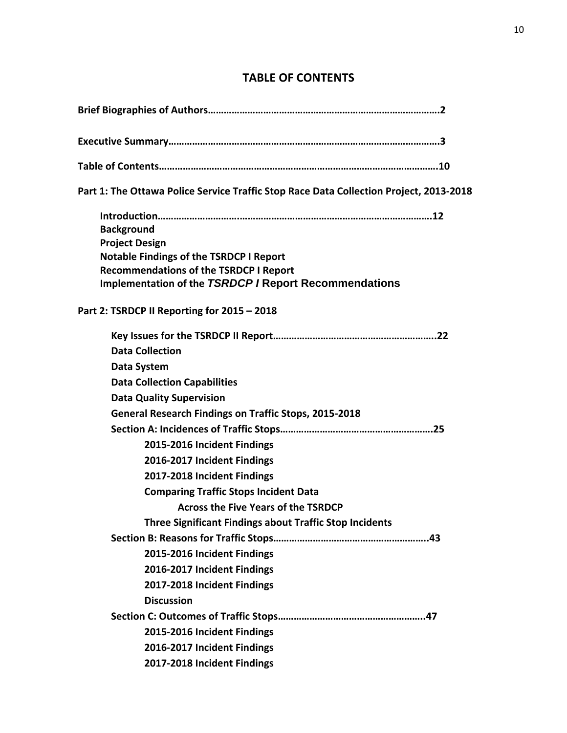## **TABLE OF CONTENTS**

| Part 1: The Ottawa Police Service Traffic Stop Race Data Collection Project, 2013-2018          |
|-------------------------------------------------------------------------------------------------|
|                                                                                                 |
| <b>Background</b>                                                                               |
| <b>Project Design</b>                                                                           |
| <b>Notable Findings of the TSRDCP I Report</b><br><b>Recommendations of the TSRDCP I Report</b> |
| <b>Implementation of the TSRDCP / Report Recommendations</b>                                    |
|                                                                                                 |
| Part 2: TSRDCP II Reporting for 2015 - 2018                                                     |
|                                                                                                 |
| <b>Data Collection</b>                                                                          |
| Data System                                                                                     |
| <b>Data Collection Capabilities</b>                                                             |
| <b>Data Quality Supervision</b>                                                                 |
| <b>General Research Findings on Traffic Stops, 2015-2018</b>                                    |
|                                                                                                 |
| 2015-2016 Incident Findings                                                                     |
| 2016-2017 Incident Findings                                                                     |
| 2017-2018 Incident Findings                                                                     |
| <b>Comparing Traffic Stops Incident Data</b>                                                    |
| <b>Across the Five Years of the TSRDCP</b>                                                      |
| <b>Three Significant Findings about Traffic Stop Incidents</b>                                  |
|                                                                                                 |
| 2015-2016 Incident Findings                                                                     |
| 2016-2017 Incident Findings                                                                     |
| 2017-2018 Incident Findings                                                                     |
| <b>Discussion</b>                                                                               |
|                                                                                                 |
| 2015-2016 Incident Findings                                                                     |
| 2016-2017 Incident Findings                                                                     |
| 2017-2018 Incident Findings                                                                     |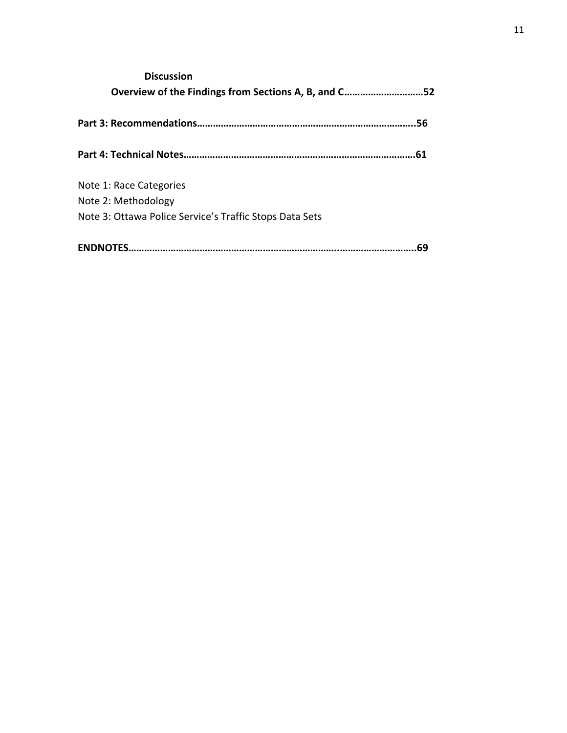| <b>Discussion</b>                                       |     |
|---------------------------------------------------------|-----|
| Overview of the Findings from Sections A, B, and C52    |     |
|                                                         |     |
|                                                         | 56  |
|                                                         |     |
|                                                         | .61 |
| Note 1: Race Categories                                 |     |
| Note 2: Methodology                                     |     |
| Note 3: Ottawa Police Service's Traffic Stops Data Sets |     |
|                                                         |     |
| <b>ENDNOTES.</b>                                        | 69  |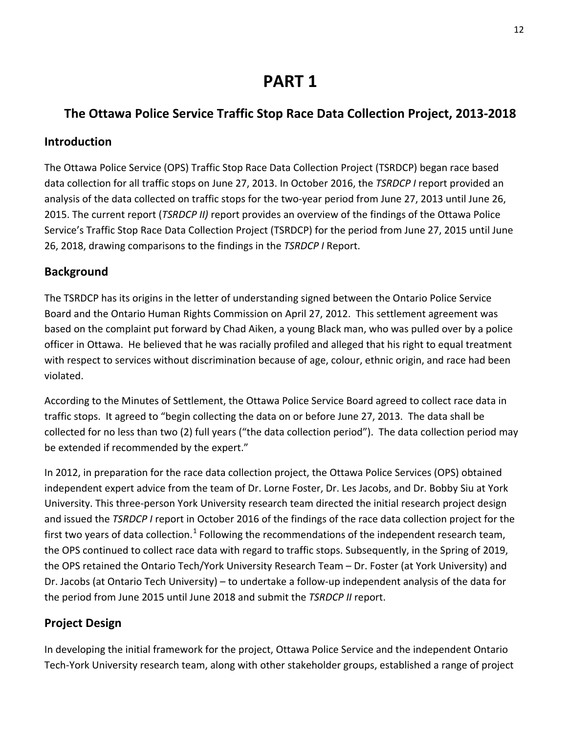## **PART 1**

## **The Ottawa Police Service Traffic Stop Race Data Collection Project, 2013-2018**

#### **Introduction**

The Ottawa Police Service (OPS) Traffic Stop Race Data Collection Project (TSRDCP) began race based data collection for all traffic stops on June 27, 2013. In October 2016, the *TSRDCP I* report provided an analysis of the data collected on traffic stops for the two-year period from June 27, 2013 until June 26, 2015. The current report (*TSRDCP II)* report provides an overview of the findings of the Ottawa Police Service's Traffic Stop Race Data Collection Project (TSRDCP) for the period from June 27, 2015 until June 26, 2018, drawing comparisons to the findings in the *TSRDCP I* Report.

#### **Background**

The TSRDCP has its origins in the letter of understanding signed between the Ontario Police Service Board and the Ontario Human Rights Commission on April 27, 2012. This settlement agreement was based on the complaint put forward by Chad Aiken, a young Black man, who was pulled over by a police officer in Ottawa. He believed that he was racially profiled and alleged that his right to equal treatment with respect to services without discrimination because of age, colour, ethnic origin, and race had been violated.

According to the Minutes of Settlement, the Ottawa Police Service Board agreed to collect race data in traffic stops. It agreed to "begin collecting the data on or before June 27, 2013. The data shall be collected for no less than two (2) full years ("the data collection period"). The data collection period may be extended if recommended by the expert."

In 2012, in preparation for the race data collection project, the Ottawa Police Services (OPS) obtained independent expert advice from the team of Dr. Lorne Foster, Dr. Les Jacobs, and Dr. Bobby Siu at York University. This three-person York University research team directed the initial research project design and issued the *TSRDCP I* report in October 2016 of the findings of the race data collection project for the first two years of data collection.<sup>[1](#page-58-0)</sup> Following the recommendations of the independent research team, the OPS continued to collect race data with regard to traffic stops. Subsequently, in the Spring of 2019, the OPS retained the Ontario Tech/York University Research Team – Dr. Foster (at York University) and Dr. Jacobs (at Ontario Tech University) – to undertake a follow-up independent analysis of the data for the period from June 2015 until June 2018 and submit the *TSRDCP II* report.

## **Project Design**

In developing the initial framework for the project, Ottawa Police Service and the independent Ontario Tech-York University research team, along with other stakeholder groups, established a range of project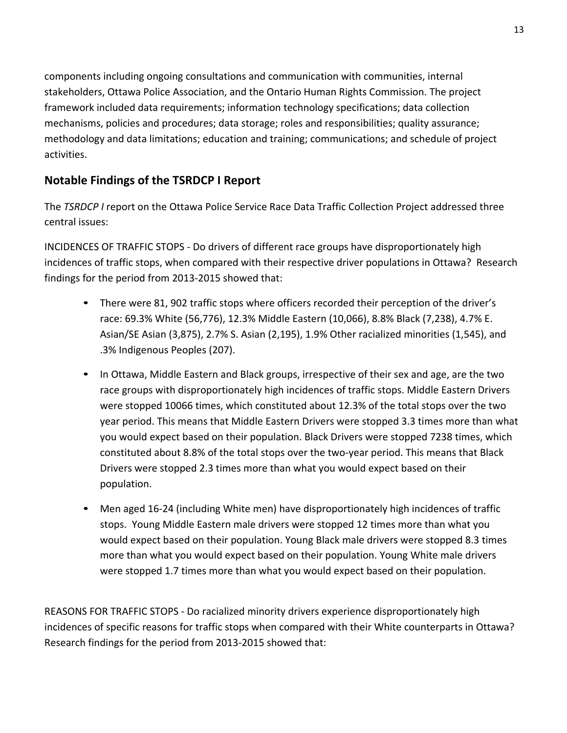components including ongoing consultations and communication with communities, internal stakeholders, Ottawa Police Association, and the Ontario Human Rights Commission. The project framework included data requirements; information technology specifications; data collection mechanisms, policies and procedures; data storage; roles and responsibilities; quality assurance; methodology and data limitations; education and training; communications; and schedule of project activities.

## **Notable Findings of the TSRDCP I Report**

The *TSRDCP I* report on the Ottawa Police Service Race Data Traffic Collection Project addressed three central issues:

INCIDENCES OF TRAFFIC STOPS - Do drivers of different race groups have disproportionately high incidences of traffic stops, when compared with their respective driver populations in Ottawa? Research findings for the period from 2013-2015 showed that:

- There were 81, 902 traffic stops where officers recorded their perception of the driver's race: 69.3% White (56,776), 12.3% Middle Eastern (10,066), 8.8% Black (7,238), 4.7% E. Asian/SE Asian (3,875), 2.7% S. Asian (2,195), 1.9% Other racialized minorities (1,545), and .3% Indigenous Peoples (207).
- In Ottawa, Middle Eastern and Black groups, irrespective of their sex and age, are the two race groups with disproportionately high incidences of traffic stops. Middle Eastern Drivers were stopped 10066 times, which constituted about 12.3% of the total stops over the two year period. This means that Middle Eastern Drivers were stopped 3.3 times more than what you would expect based on their population. Black Drivers were stopped 7238 times, which constituted about 8.8% of the total stops over the two-year period. This means that Black Drivers were stopped 2.3 times more than what you would expect based on their population.
- Men aged 16-24 (including White men) have disproportionately high incidences of traffic stops. Young Middle Eastern male drivers were stopped 12 times more than what you would expect based on their population. Young Black male drivers were stopped 8.3 times more than what you would expect based on their population. Young White male drivers were stopped 1.7 times more than what you would expect based on their population.

REASONS FOR TRAFFIC STOPS - Do racialized minority drivers experience disproportionately high incidences of specific reasons for traffic stops when compared with their White counterparts in Ottawa? Research findings for the period from 2013-2015 showed that: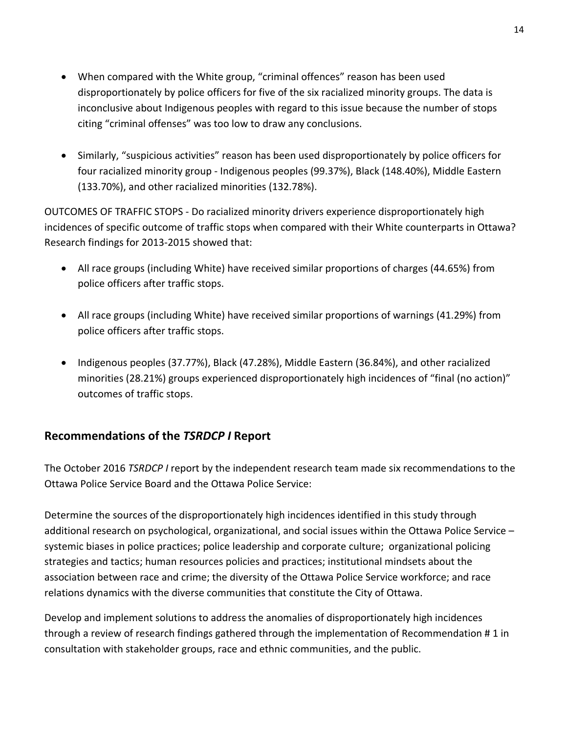- When compared with the White group, "criminal offences" reason has been used disproportionately by police officers for five of the six racialized minority groups. The data is inconclusive about Indigenous peoples with regard to this issue because the number of stops citing "criminal offenses" was too low to draw any conclusions.
- Similarly, "suspicious activities" reason has been used disproportionately by police officers for four racialized minority group - Indigenous peoples (99.37%), Black (148.40%), Middle Eastern (133.70%), and other racialized minorities (132.78%).

OUTCOMES OF TRAFFIC STOPS - Do racialized minority drivers experience disproportionately high incidences of specific outcome of traffic stops when compared with their White counterparts in Ottawa? Research findings for 2013-2015 showed that:

- All race groups (including White) have received similar proportions of charges (44.65%) from police officers after traffic stops.
- All race groups (including White) have received similar proportions of warnings (41.29%) from police officers after traffic stops.
- Indigenous peoples (37.77%), Black (47.28%), Middle Eastern (36.84%), and other racialized minorities (28.21%) groups experienced disproportionately high incidences of "final (no action)" outcomes of traffic stops.

## **Recommendations of the** *TSRDCP I* **Report**

The October 2016 *TSRDCP I* report by the independent research team made six recommendations to the Ottawa Police Service Board and the Ottawa Police Service:

Determine the sources of the disproportionately high incidences identified in this study through additional research on psychological, organizational, and social issues within the Ottawa Police Service – systemic biases in police practices; police leadership and corporate culture; organizational policing strategies and tactics; human resources policies and practices; institutional mindsets about the association between race and crime; the diversity of the Ottawa Police Service workforce; and race relations dynamics with the diverse communities that constitute the City of Ottawa.

Develop and implement solutions to address the anomalies of disproportionately high incidences through a review of research findings gathered through the implementation of Recommendation # 1 in consultation with stakeholder groups, race and ethnic communities, and the public.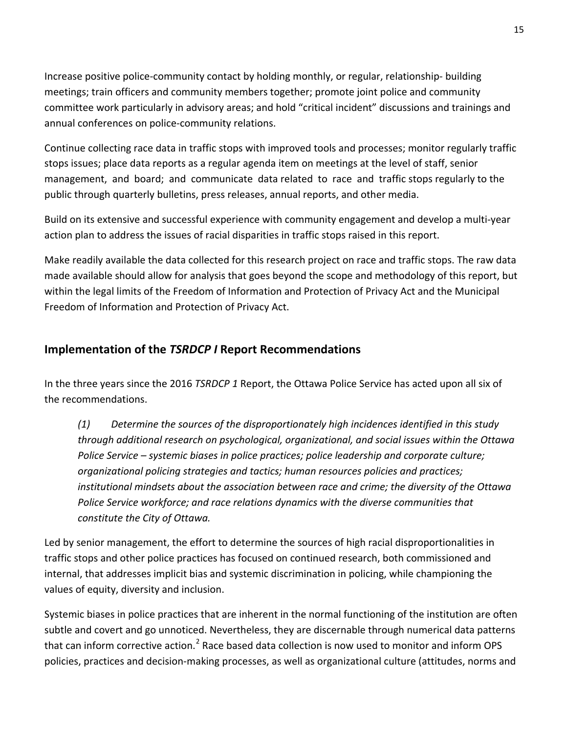Increase positive police-community contact by holding monthly, or regular, relationship- building meetings; train officers and community members together; promote joint police and community committee work particularly in advisory areas; and hold "critical incident" discussions and trainings and annual conferences on police-community relations.

Continue collecting race data in traffic stops with improved tools and processes; monitor regularly traffic stops issues; place data reports as a regular agenda item on meetings at the level of staff, senior management, and board; and communicate data related to race and traffic stops regularly to the public through quarterly bulletins, press releases, annual reports, and other media.

Build on its extensive and successful experience with community engagement and develop a multi-year action plan to address the issues of racial disparities in traffic stops raised in this report.

Make readily available the data collected for this research project on race and traffic stops. The raw data made available should allow for analysis that goes beyond the scope and methodology of this report, but within the legal limits of the Freedom of Information and Protection of Privacy Act and the Municipal Freedom of Information and Protection of Privacy Act.

#### **Implementation of the** *TSRDCP I* **Report Recommendations**

In the three years since the 2016 *TSRDCP 1* Report, the Ottawa Police Service has acted upon all six of the recommendations.

*(1) Determine the sources of the disproportionately high incidences identified in this study through additional research on psychological, organizational, and social issues within the Ottawa Police Service – systemic biases in police practices; police leadership and corporate culture; organizational policing strategies and tactics; human resources policies and practices; institutional mindsets about the association between race and crime; the diversity of the Ottawa Police Service workforce; and race relations dynamics with the diverse communities that constitute the City of Ottawa.* 

Led by senior management, the effort to determine the sources of high racial disproportionalities in traffic stops and other police practices has focused on continued research, both commissioned and internal, that addresses implicit bias and systemic discrimination in policing, while championing the values of equity, diversity and inclusion.

Systemic biases in police practices that are inherent in the normal functioning of the institution are often subtle and covert and go unnoticed. Nevertheless, they are discernable through numerical data patterns that can inform corrective action.<sup>[2](#page-58-1)</sup> Race based data collection is now used to monitor and inform OPS policies, practices and decision-making processes, as well as organizational culture (attitudes, norms and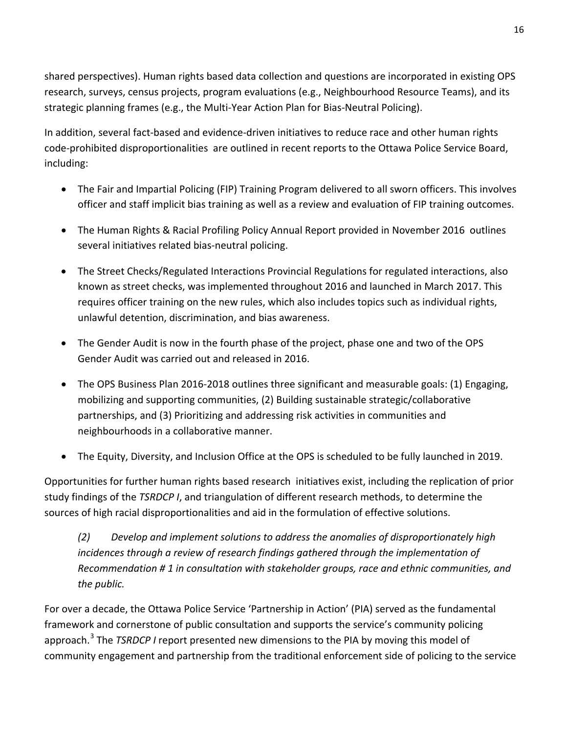shared perspectives). Human rights based data collection and questions are incorporated in existing OPS research, surveys, census projects, program evaluations (e.g., Neighbourhood Resource Teams), and its strategic planning frames (e.g., the Multi-Year Action Plan for Bias-Neutral Policing).

In addition, several fact-based and evidence-driven initiatives to reduce race and other human rights code-prohibited disproportionalities are outlined in recent reports to the Ottawa Police Service Board, including:

- The Fair and Impartial Policing (FIP) Training Program delivered to all sworn officers. This involves officer and staff implicit bias training as well as a review and evaluation of FIP training outcomes.
- The Human Rights & Racial Profiling Policy Annual Report provided in November 2016 outlines several initiatives related bias-neutral policing.
- The Street Checks/Regulated Interactions Provincial Regulations for regulated interactions, also known as street checks, was implemented throughout 2016 and launched in March 2017. This requires officer training on the new rules, which also includes topics such as individual rights, unlawful detention, discrimination, and bias awareness.
- The Gender Audit is now in the fourth phase of the project, phase one and two of the OPS Gender Audit was carried out and released in 2016.
- The OPS Business Plan 2016-2018 outlines three significant and measurable goals: (1) Engaging, mobilizing and supporting communities, (2) Building sustainable strategic/collaborative partnerships, and (3) Prioritizing and addressing risk activities in communities and neighbourhoods in a collaborative manner.
- The Equity, Diversity, and Inclusion Office at the OPS is scheduled to be fully launched in 2019.

Opportunities for further human rights based research initiatives exist, including the replication of prior study findings of the *TSRDCP I*, and triangulation of different research methods, to determine the sources of high racial disproportionalities and aid in the formulation of effective solutions.

*(2) Develop and implement solutions to address the anomalies of disproportionately high incidences through a review of research findings gathered through the implementation of Recommendation # 1 in consultation with stakeholder groups, race and ethnic communities, and the public.*

For over a decade, the Ottawa Police Service 'Partnership in Action' (PIA) served as the fundamental framework and cornerstone of public consultation and supports the service's community policing approach.[3](#page-59-0) The *TSRDCP I* report presented new dimensions to the PIA by moving this model of community engagement and partnership from the traditional enforcement side of policing to the service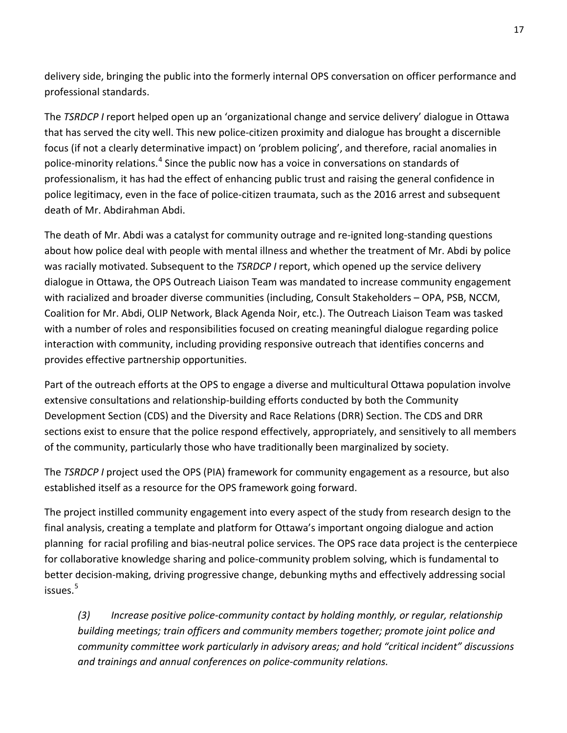delivery side, bringing the public into the formerly internal OPS conversation on officer performance and professional standards.

The *TSRDCP I* report helped open up an 'organizational change and service delivery' dialogue in Ottawa that has served the city well. This new police-citizen proximity and dialogue has brought a discernible focus (if not a clearly determinative impact) on 'problem policing', and therefore, racial anomalies in police-minority relations.<sup>[4](#page-60-0)</sup> Since the public now has a voice in conversations on standards of professionalism, it has had the effect of enhancing public trust and raising the general confidence in police legitimacy, even in the face of police-citizen traumata, such as the 2016 arrest and subsequent death of Mr. Abdirahman Abdi.

The death of Mr. Abdi was a catalyst for community outrage and re-ignited long-standing questions about how police deal with people with mental illness and whether the treatment of Mr. Abdi by police was racially motivated. Subsequent to the *TSRDCP I* report, which opened up the service delivery dialogue in Ottawa, the OPS Outreach Liaison Team was mandated to increase community engagement with racialized and broader diverse communities (including, Consult Stakeholders – OPA, PSB, NCCM, Coalition for Mr. Abdi, OLIP Network, Black Agenda Noir, etc.). The Outreach Liaison Team was tasked with a number of roles and responsibilities focused on creating meaningful dialogue regarding police interaction with community, including providing responsive outreach that identifies concerns and provides effective partnership opportunities.

Part of the outreach efforts at the OPS to engage a diverse and multicultural Ottawa population involve extensive consultations and relationship-building efforts conducted by both the Community Development Section (CDS) and the Diversity and Race Relations (DRR) Section. The CDS and DRR sections exist to ensure that the police respond effectively, appropriately, and sensitively to all members of the community, particularly those who have traditionally been marginalized by society.

The *TSRDCP I* project used the OPS (PIA) framework for community engagement as a resource, but also established itself as a resource for the OPS framework going forward.

The project instilled community engagement into every aspect of the study from research design to the final analysis, creating a template and platform for Ottawa's important ongoing dialogue and action planning for racial profiling and bias-neutral police services. The OPS race data project is the centerpiece for collaborative knowledge sharing and police-community problem solving, which is fundamental to better decision-making, driving progressive change, debunking myths and effectively addressing social issues.<sup>[5](#page-60-1)</sup>

*(3) Increase positive police-community contact by holding monthly, or regular, relationship building meetings; train officers and community members together; promote joint police and community committee work particularly in advisory areas; and hold "critical incident" discussions and trainings and annual conferences on police-community relations.*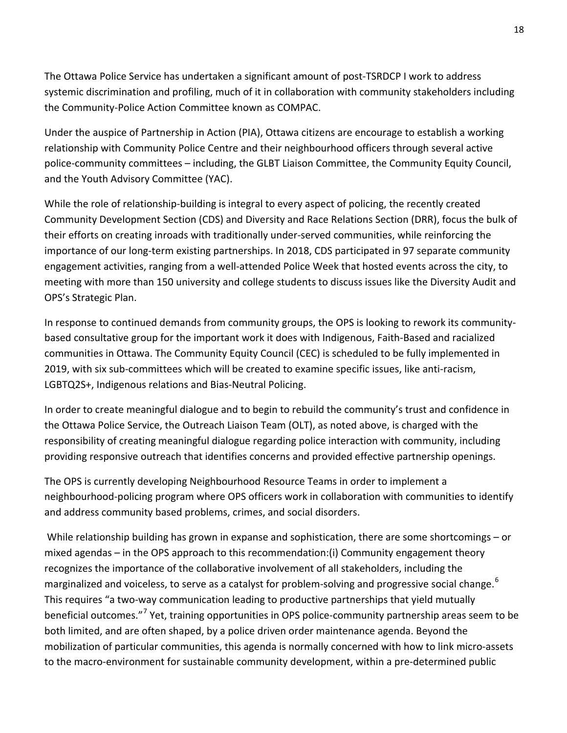The Ottawa Police Service has undertaken a significant amount of post-TSRDCP I work to address systemic discrimination and profiling, much of it in collaboration with community stakeholders including the Community-Police Action Committee known as COMPAC.

Under the auspice of Partnership in Action (PIA), Ottawa citizens are encourage to establish a working relationship with Community Police Centre and their neighbourhood officers through several active police-community committees – including, the GLBT Liaison Committee, the Community Equity Council, and the Youth Advisory Committee (YAC).

While the role of relationship-building is integral to every aspect of policing, the recently created Community Development Section (CDS) and Diversity and Race Relations Section (DRR), focus the bulk of their efforts on creating inroads with traditionally under-served communities, while reinforcing the importance of our long-term existing partnerships. In 2018, CDS participated in 97 separate community engagement activities, ranging from a well-attended Police Week that hosted events across the city, to meeting with more than 150 university and college students to discuss issues like the Diversity Audit and OPS's Strategic Plan.

In response to continued demands from community groups, the OPS is looking to rework its communitybased consultative group for the important work it does with Indigenous, Faith-Based and racialized communities in Ottawa. The Community Equity Council (CEC) is scheduled to be fully implemented in 2019, with six sub-committees which will be created to examine specific issues, like anti-racism, LGBTQ2S+, Indigenous relations and Bias-Neutral Policing.

In order to create meaningful dialogue and to begin to rebuild the community's trust and confidence in the Ottawa Police Service, the Outreach Liaison Team (OLT), as noted above, is charged with the responsibility of creating meaningful dialogue regarding police interaction with community, including providing responsive outreach that identifies concerns and provided effective partnership openings.

The OPS is currently developing Neighbourhood Resource Teams in order to implement a neighbourhood-policing program where OPS officers work in collaboration with communities to identify and address community based problems, crimes, and social disorders.

While relationship building has grown in expanse and sophistication, there are some shortcomings – or mixed agendas – in the OPS approach to this recommendation:(i) Community engagement theory recognizes the importance of the collaborative involvement of all stakeholders, including the marginalized and voiceless, to serve as a catalyst for problem-solving and progressive social change.<sup>[6](#page-61-0)</sup> This requires "a two-way communication leading to productive partnerships that yield mutually beneficial outcomes."<sup>[7](#page-61-1)</sup> Yet, training opportunities in OPS police-community partnership areas seem to be both limited, and are often shaped, by a police driven order maintenance agenda. Beyond the mobilization of particular communities, this agenda is normally concerned with how to link micro-assets to the macro-environment for sustainable community development, within a pre-determined public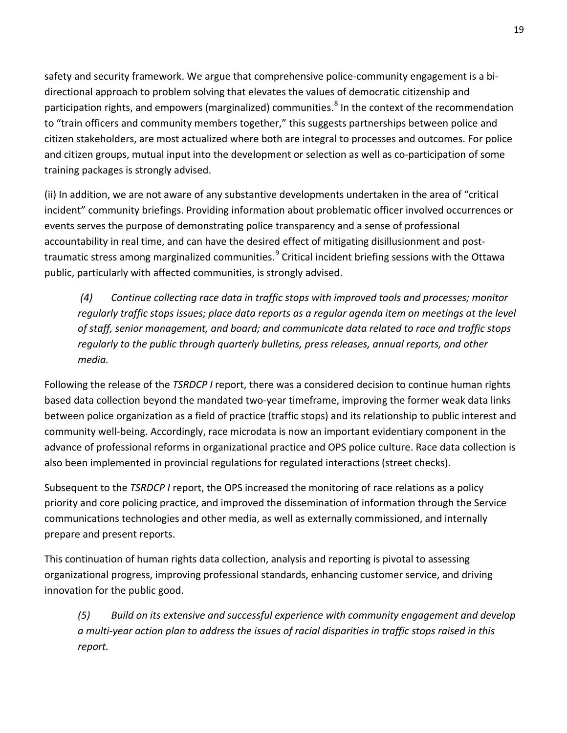safety and security framework. We argue that comprehensive police-community engagement is a bidirectional approach to problem solving that elevates the values of democratic citizenship and participation rights, and empowers (marginalized) communities.<sup>[8](#page-62-0)</sup> In the context of the recommendation to "train officers and community members together," this suggests partnerships between police and citizen stakeholders, are most actualized where both are integral to processes and outcomes. For police and citizen groups, mutual input into the development or selection as well as co-participation of some training packages is strongly advised.

(ii) In addition, we are not aware of any substantive developments undertaken in the area of "critical incident" community briefings. Providing information about problematic officer involved occurrences or events serves the purpose of demonstrating police transparency and a sense of professional accountability in real time, and can have the desired effect of mitigating disillusionment and post-traumatic stress among marginalized communities.<sup>[9](#page-62-1)</sup> Critical incident briefing sessions with the Ottawa public, particularly with affected communities, is strongly advised.

*(4) Continue collecting race data in traffic stops with improved tools and processes; monitor regularly traffic stops issues; place data reports as a regular agenda item on meetings at the level of staff, senior management, and board; and communicate data related to race and traffic stops regularly to the public through quarterly bulletins, press releases, annual reports, and other media.*

Following the release of the *TSRDCP I* report, there was a considered decision to continue human rights based data collection beyond the mandated two-year timeframe, improving the former weak data links between police organization as a field of practice (traffic stops) and its relationship to public interest and community well-being. Accordingly, race microdata is now an important evidentiary component in the advance of professional reforms in organizational practice and OPS police culture. Race data collection is also been implemented in provincial regulations for regulated interactions (street checks).

Subsequent to the *TSRDCP I* report, the OPS increased the monitoring of race relations as a policy priority and core policing practice, and improved the dissemination of information through the Service communications technologies and other media, as well as externally commissioned, and internally prepare and present reports.

This continuation of human rights data collection, analysis and reporting is pivotal to assessing organizational progress, improving professional standards, enhancing customer service, and driving innovation for the public good.

*(5) Build on its extensive and successful experience with community engagement and develop a multi-year action plan to address the issues of racial disparities in traffic stops raised in this report.*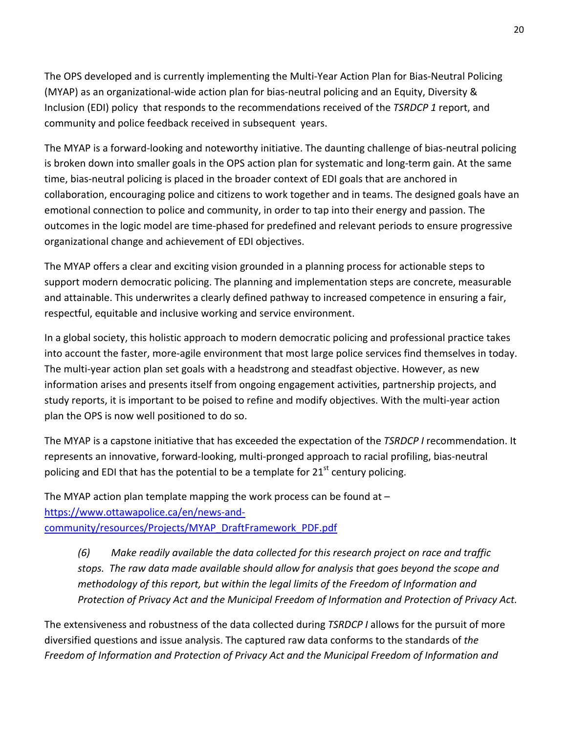The OPS developed and is currently implementing the Multi-Year Action Plan for Bias-Neutral Policing (MYAP) as an organizational-wide action plan for bias-neutral policing and an Equity, Diversity & Inclusion (EDI) policy that responds to the recommendations received of the *TSRDCP 1* report, and community and police feedback received in subsequent years.

The MYAP is a forward-looking and noteworthy initiative. The daunting challenge of bias-neutral policing is broken down into smaller goals in the OPS action plan for systematic and long-term gain. At the same time, bias-neutral policing is placed in the broader context of EDI goals that are anchored in collaboration, encouraging police and citizens to work together and in teams. The designed goals have an emotional connection to police and community, in order to tap into their energy and passion. The outcomes in the logic model are time-phased for predefined and relevant periods to ensure progressive organizational change and achievement of EDI objectives.

The MYAP offers a clear and exciting vision grounded in a planning process for actionable steps to support modern democratic policing. The planning and implementation steps are concrete, measurable and attainable. This underwrites a clearly defined pathway to increased competence in ensuring a fair, respectful, equitable and inclusive working and service environment.

In a global society, this holistic approach to modern democratic policing and professional practice takes into account the faster, more-agile environment that most large police services find themselves in today. The multi-year action plan set goals with a headstrong and steadfast objective. However, as new information arises and presents itself from ongoing engagement activities, partnership projects, and study reports, it is important to be poised to refine and modify objectives. With the multi-year action plan the OPS is now well positioned to do so.

The MYAP is a capstone initiative that has exceeded the expectation of the *TSRDCP I* recommendation. It represents an innovative, forward-looking, multi-pronged approach to racial profiling, bias-neutral policing and EDI that has the potential to be a template for  $21<sup>st</sup>$  century policing.

The MYAP action plan template mapping the work process can be found at  $$ [https://www.ottawapolice.ca/en/news-and](https://www.ottawapolice.ca/en/news-and-community/resources/Projects/MYAP_DraftFramework_PDF.pdf)[community/resources/Projects/MYAP\\_DraftFramework\\_PDF.pdf](https://www.ottawapolice.ca/en/news-and-community/resources/Projects/MYAP_DraftFramework_PDF.pdf)

*(6) Make readily available the data collected for this research project on race and traffic stops. The raw data made available should allow for analysis that goes beyond the scope and methodology of this report, but within the legal limits of the Freedom of Information and Protection of Privacy Act and the Municipal Freedom of Information and Protection of Privacy Act.*

The extensiveness and robustness of the data collected during *TSRDCP I* allows for the pursuit of more diversified questions and issue analysis. The captured raw data conforms to the standards of *the Freedom of Information and Protection of Privacy Act and the Municipal Freedom of Information and*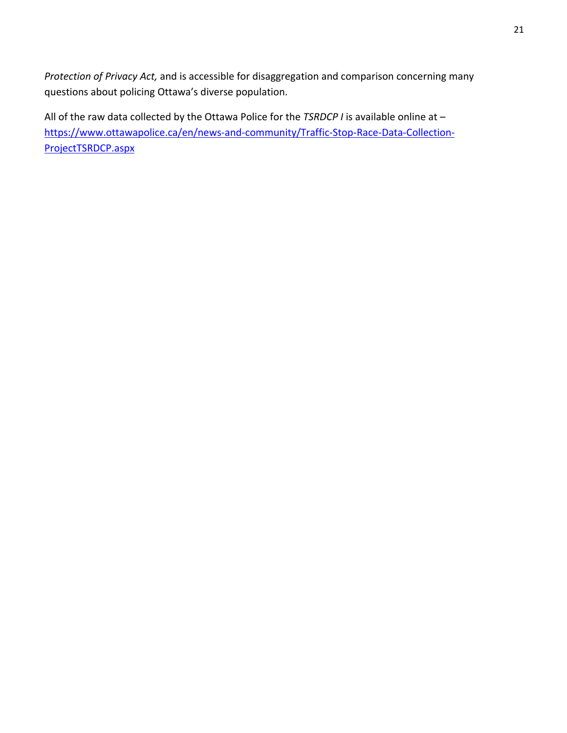*Protection of Privacy Act,* and is accessible for disaggregation and comparison concerning many questions about policing Ottawa's diverse population.

All of the raw data collected by the Ottawa Police for the *TSRDCP I* is available online at – [https://www.ottawapolice.ca/en/news-and-community/Traffic-Stop-Race-Data-Collection-](https://www.ottawapolice.ca/en/news-and-community/Traffic-Stop-Race-Data-Collection-ProjectTSRDCP.aspx)[ProjectTSRDCP.aspx](https://www.ottawapolice.ca/en/news-and-community/Traffic-Stop-Race-Data-Collection-ProjectTSRDCP.aspx)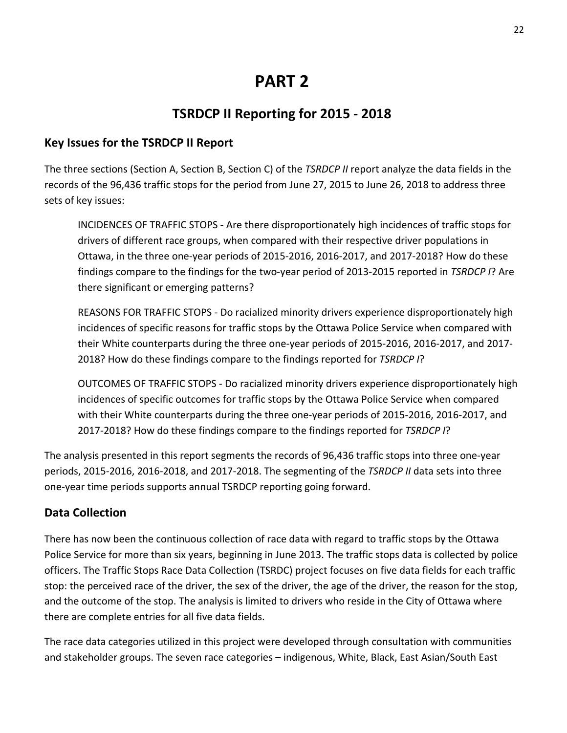## **PART 2**

## **TSRDCP II Reporting for 2015 - 2018**

#### **Key Issues for the TSRDCP II Report**

The three sections (Section A, Section B, Section C) of the *TSRDCP II* report analyze the data fields in the records of the 96,436 traffic stops for the period from June 27, 2015 to June 26, 2018 to address three sets of key issues:

INCIDENCES OF TRAFFIC STOPS - Are there disproportionately high incidences of traffic stops for drivers of different race groups, when compared with their respective driver populations in Ottawa, in the three one-year periods of 2015-2016, 2016-2017, and 2017-2018? How do these findings compare to the findings for the two-year period of 2013-2015 reported in *TSRDCP I*? Are there significant or emerging patterns?

REASONS FOR TRAFFIC STOPS - Do racialized minority drivers experience disproportionately high incidences of specific reasons for traffic stops by the Ottawa Police Service when compared with their White counterparts during the three one-year periods of 2015-2016, 2016-2017, and 2017- 2018? How do these findings compare to the findings reported for *TSRDCP I*?

OUTCOMES OF TRAFFIC STOPS - Do racialized minority drivers experience disproportionately high incidences of specific outcomes for traffic stops by the Ottawa Police Service when compared with their White counterparts during the three one-year periods of 2015-2016, 2016-2017, and 2017-2018? How do these findings compare to the findings reported for *TSRDCP I*?

The analysis presented in this report segments the records of 96,436 traffic stops into three one-year periods, 2015-2016, 2016-2018, and 2017-2018. The segmenting of the *TSRDCP II* data sets into three one-year time periods supports annual TSRDCP reporting going forward.

## **Data Collection**

There has now been the continuous collection of race data with regard to traffic stops by the Ottawa Police Service for more than six years, beginning in June 2013. The traffic stops data is collected by police officers. The Traffic Stops Race Data Collection (TSRDC) project focuses on five data fields for each traffic stop: the perceived race of the driver, the sex of the driver, the age of the driver, the reason for the stop, and the outcome of the stop. The analysis is limited to drivers who reside in the City of Ottawa where there are complete entries for all five data fields.

The race data categories utilized in this project were developed through consultation with communities and stakeholder groups. The seven race categories – indigenous, White, Black, East Asian/South East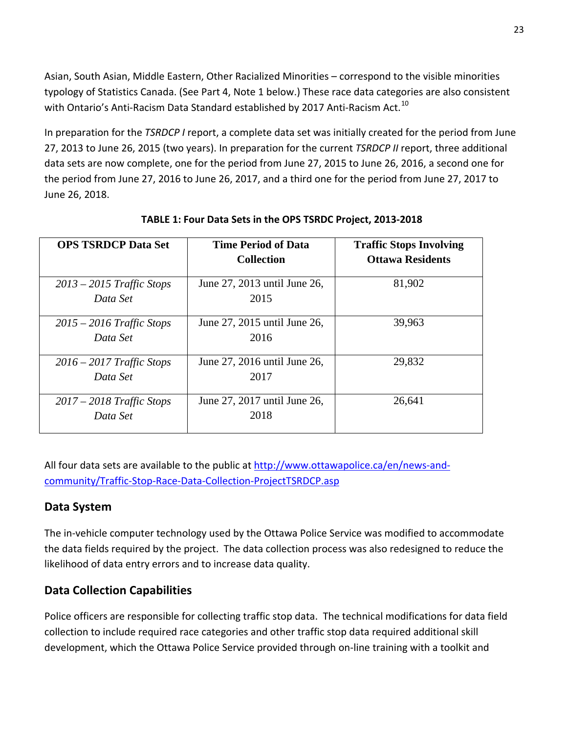Asian, South Asian, Middle Eastern, Other Racialized Minorities – correspond to the visible minorities typology of Statistics Canada. (See Part 4, Note 1 below.) These race data categories are also consistent with Ontario's Anti-Racism Data Standard established by 2017 Anti-Racism Act.<sup>[10](#page-63-0)</sup>

In preparation for the *TSRDCP I* report, a complete data set was initially created for the period from June 27, 2013 to June 26, 2015 (two years). In preparation for the current *TSRDCP II* report, three additional data sets are now complete, one for the period from June 27, 2015 to June 26, 2016, a second one for the period from June 27, 2016 to June 26, 2017, and a third one for the period from June 27, 2017 to June 26, 2018.

| <b>OPS TSRDCP Data Set</b>              | <b>Time Period of Data</b><br><b>Collection</b> | <b>Traffic Stops Involving</b><br><b>Ottawa Residents</b> |
|-----------------------------------------|-------------------------------------------------|-----------------------------------------------------------|
| $2013 - 2015$ Traffic Stops<br>Data Set | June 27, 2013 until June 26,<br>2015            | 81,902                                                    |
| $2015 - 2016$ Traffic Stops<br>Data Set | June 27, 2015 until June 26,<br>2016            | 39,963                                                    |
| $2016 - 2017$ Traffic Stops<br>Data Set | June 27, 2016 until June 26,<br>2017            | 29,832                                                    |
| $2017 - 2018$ Traffic Stops<br>Data Set | June 27, 2017 until June 26,<br>2018            | 26,641                                                    |

**TABLE 1: Four Data Sets in the OPS TSRDC Project, 2013-2018**

All four data sets are available to the public at [http://www.ottawapolice.ca/en/news-and](http://www.ottawapolice.ca/en/news-and-community/Traffic-Stop-Race-Data-Collection-ProjectTSRDCP.asp)[community/Traffic-Stop-Race-Data-Collection-ProjectTSRDCP.asp](http://www.ottawapolice.ca/en/news-and-community/Traffic-Stop-Race-Data-Collection-ProjectTSRDCP.asp)

## **Data System**

The in-vehicle computer technology used by the Ottawa Police Service was modified to accommodate the data fields required by the project. The data collection process was also redesigned to reduce the likelihood of data entry errors and to increase data quality.

## **Data Collection Capabilities**

Police officers are responsible for collecting traffic stop data. The technical modifications for data field collection to include required race categories and other traffic stop data required additional skill development, which the Ottawa Police Service provided through on-line training with a toolkit and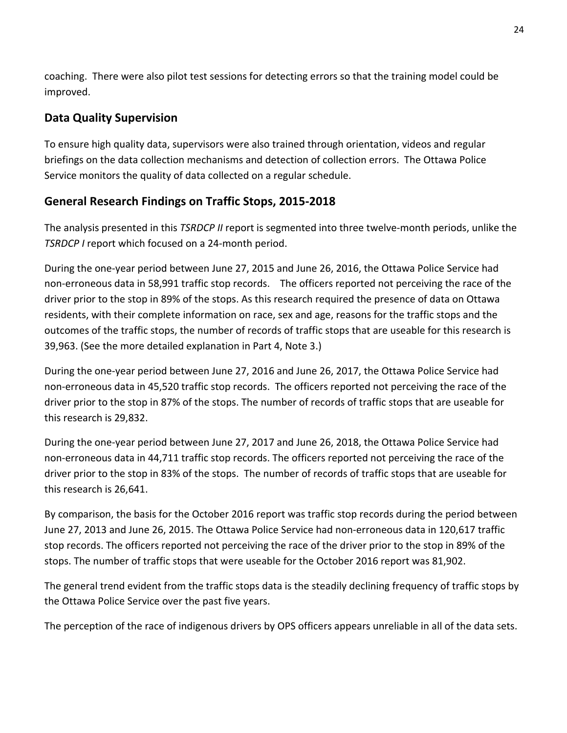coaching. There were also pilot test sessions for detecting errors so that the training model could be improved.

## **Data Quality Supervision**

To ensure high quality data, supervisors were also trained through orientation, videos and regular briefings on the data collection mechanisms and detection of collection errors. The Ottawa Police Service monitors the quality of data collected on a regular schedule.

#### **General Research Findings on Traffic Stops, 2015-2018**

The analysis presented in this *TSRDCP II* report is segmented into three twelve-month periods, unlike the *TSRDCP I* report which focused on a 24-month period.

During the one-year period between June 27, 2015 and June 26, 2016, the Ottawa Police Service had non-erroneous data in 58,991 traffic stop records. The officers reported not perceiving the race of the driver prior to the stop in 89% of the stops. As this research required the presence of data on Ottawa residents, with their complete information on race, sex and age, reasons for the traffic stops and the outcomes of the traffic stops, the number of records of traffic stops that are useable for this research is 39,963. (See the more detailed explanation in Part 4, Note 3.)

During the one-year period between June 27, 2016 and June 26, 2017, the Ottawa Police Service had non-erroneous data in 45,520 traffic stop records. The officers reported not perceiving the race of the driver prior to the stop in 87% of the stops. The number of records of traffic stops that are useable for this research is 29,832.

During the one-year period between June 27, 2017 and June 26, 2018, the Ottawa Police Service had non-erroneous data in 44,711 traffic stop records. The officers reported not perceiving the race of the driver prior to the stop in 83% of the stops. The number of records of traffic stops that are useable for this research is 26,641.

By comparison, the basis for the October 2016 report was traffic stop records during the period between June 27, 2013 and June 26, 2015. The Ottawa Police Service had non-erroneous data in 120,617 traffic stop records. The officers reported not perceiving the race of the driver prior to the stop in 89% of the stops. The number of traffic stops that were useable for the October 2016 report was 81,902.

The general trend evident from the traffic stops data is the steadily declining frequency of traffic stops by the Ottawa Police Service over the past five years.

The perception of the race of indigenous drivers by OPS officers appears unreliable in all of the data sets.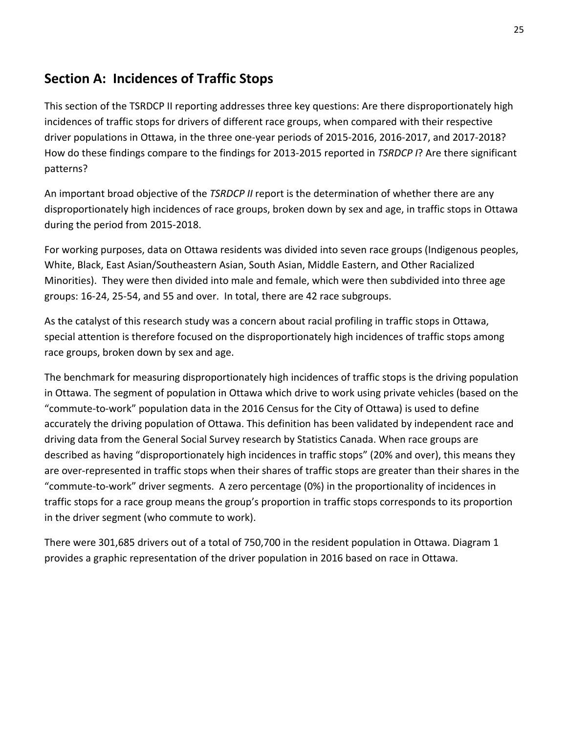## **Section A: Incidences of Traffic Stops**

This section of the TSRDCP II reporting addresses three key questions: Are there disproportionately high incidences of traffic stops for drivers of different race groups, when compared with their respective driver populations in Ottawa, in the three one-year periods of 2015-2016, 2016-2017, and 2017-2018? How do these findings compare to the findings for 2013-2015 reported in *TSRDCP I*? Are there significant patterns?

An important broad objective of the *TSRDCP II* report is the determination of whether there are any disproportionately high incidences of race groups, broken down by sex and age, in traffic stops in Ottawa during the period from 2015-2018.

For working purposes, data on Ottawa residents was divided into seven race groups (Indigenous peoples, White, Black, East Asian/Southeastern Asian, South Asian, Middle Eastern, and Other Racialized Minorities). They were then divided into male and female, which were then subdivided into three age groups: 16-24, 25-54, and 55 and over. In total, there are 42 race subgroups.

As the catalyst of this research study was a concern about racial profiling in traffic stops in Ottawa, special attention is therefore focused on the disproportionately high incidences of traffic stops among race groups, broken down by sex and age.

The benchmark for measuring disproportionately high incidences of traffic stops is the driving population in Ottawa. The segment of population in Ottawa which drive to work using private vehicles (based on the "commute-to-work" population data in the 2016 Census for the City of Ottawa) is used to define accurately the driving population of Ottawa. This definition has been validated by independent race and driving data from the General Social Survey research by Statistics Canada. When race groups are described as having "disproportionately high incidences in traffic stops" (20% and over), this means they are over-represented in traffic stops when their shares of traffic stops are greater than their shares in the "commute-to-work" driver segments. A zero percentage (0%) in the proportionality of incidences in traffic stops for a race group means the group's proportion in traffic stops corresponds to its proportion in the driver segment (who commute to work).

There were 301,685 drivers out of a total of 750,700 in the resident population in Ottawa. Diagram 1 provides a graphic representation of the driver population in 2016 based on race in Ottawa.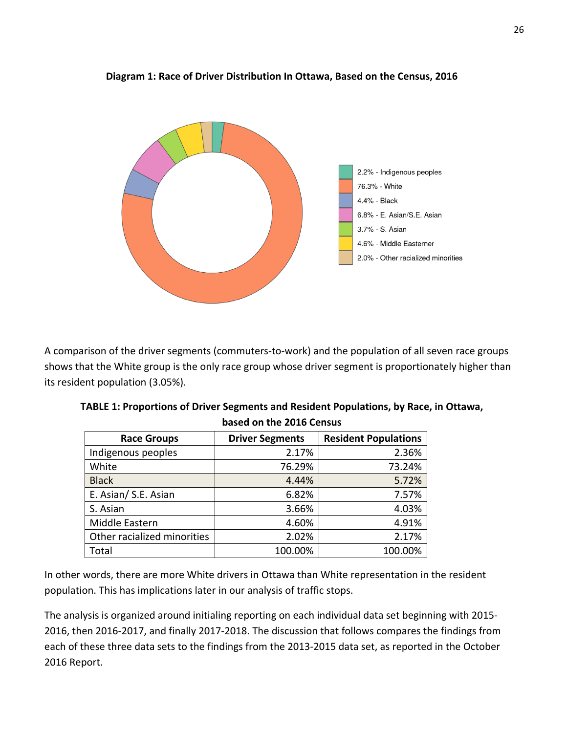

#### **Diagram 1: Race of Driver Distribution In Ottawa, Based on the Census, 2016**

A comparison of the driver segments (commuters-to-work) and the population of all seven race groups shows that the White group is the only race group whose driver segment is proportionately higher than its resident population (3.05%).

| <b>Race Groups</b>          | <b>Driver Segments</b> | <b>Resident Populations</b> |
|-----------------------------|------------------------|-----------------------------|
| Indigenous peoples          | 2.17%                  | 2.36%                       |
| White                       | 76.29%                 | 73.24%                      |
| <b>Black</b>                | 4.44%                  | 5.72%                       |
| E. Asian/ S.E. Asian        | 6.82%                  | 7.57%                       |
| S. Asian                    | 3.66%                  | 4.03%                       |
| Middle Eastern              | 4.60%                  | 4.91%                       |
| Other racialized minorities | 2.02%                  | 2.17%                       |
| Total                       | 100.00%                | 100.00%                     |

**TABLE 1: Proportions of Driver Segments and Resident Populations, by Race, in Ottawa, based on the 2016 Census**

In other words, there are more White drivers in Ottawa than White representation in the resident population. This has implications later in our analysis of traffic stops.

The analysis is organized around initialing reporting on each individual data set beginning with 2015- 2016, then 2016-2017, and finally 2017-2018. The discussion that follows compares the findings from each of these three data sets to the findings from the 2013-2015 data set, as reported in the October 2016 Report.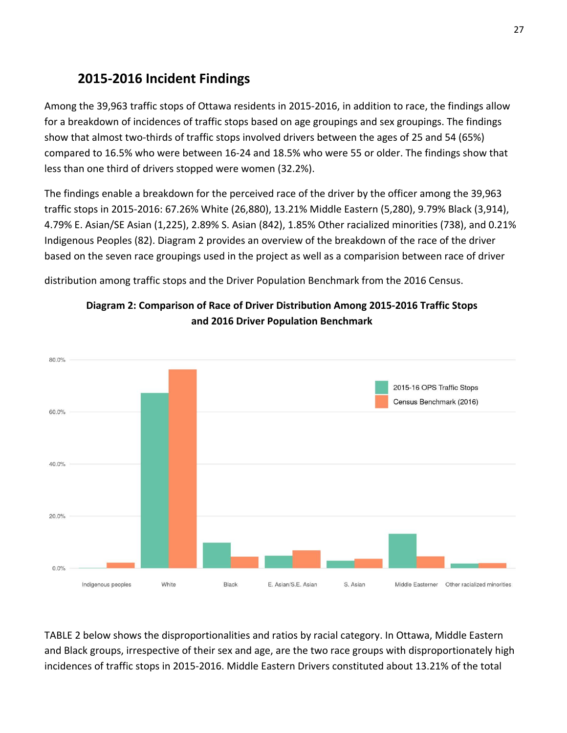## **2015-2016 Incident Findings**

Among the 39,963 traffic stops of Ottawa residents in 2015-2016, in addition to race, the findings allow for a breakdown of incidences of traffic stops based on age groupings and sex groupings. The findings show that almost two-thirds of traffic stops involved drivers between the ages of 25 and 54 (65%) compared to 16.5% who were between 16-24 and 18.5% who were 55 or older. The findings show that less than one third of drivers stopped were women (32.2%).

The findings enable a breakdown for the perceived race of the driver by the officer among the 39,963 traffic stops in 2015-2016: 67.26% White (26,880), 13.21% Middle Eastern (5,280), 9.79% Black (3,914), 4.79% E. Asian/SE Asian (1,225), 2.89% S. Asian (842), 1.85% Other racialized minorities (738), and 0.21% Indigenous Peoples (82). Diagram 2 provides an overview of the breakdown of the race of the driver based on the seven race groupings used in the project as well as a comparision between race of driver

distribution among traffic stops and the Driver Population Benchmark from the 2016 Census.





TABLE 2 below shows the disproportionalities and ratios by racial category. In Ottawa, Middle Eastern and Black groups, irrespective of their sex and age, are the two race groups with disproportionately high incidences of traffic stops in 2015-2016. Middle Eastern Drivers constituted about 13.21% of the total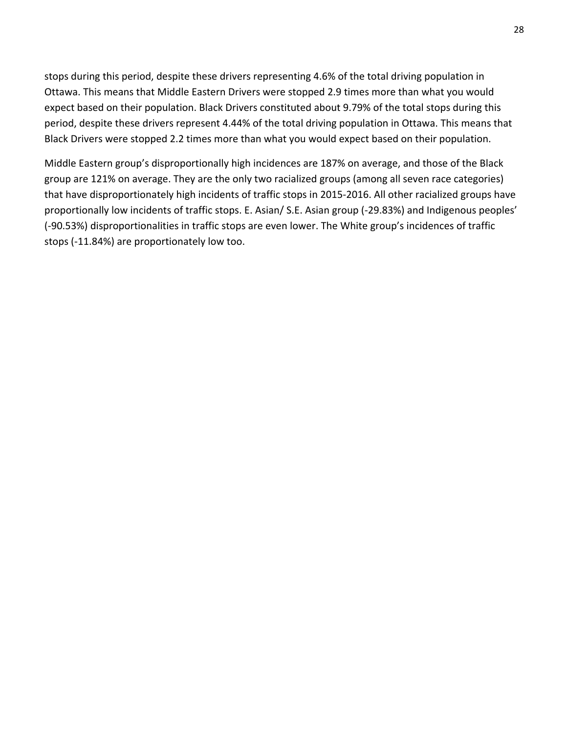stops during this period, despite these drivers representing 4.6% of the total driving population in Ottawa. This means that Middle Eastern Drivers were stopped 2.9 times more than what you would expect based on their population. Black Drivers constituted about 9.79% of the total stops during this period, despite these drivers represent 4.44% of the total driving population in Ottawa. This means that Black Drivers were stopped 2.2 times more than what you would expect based on their population.

Middle Eastern group's disproportionally high incidences are 187% on average, and those of the Black group are 121% on average. They are the only two racialized groups (among all seven race categories) that have disproportionately high incidents of traffic stops in 2015-2016. All other racialized groups have proportionally low incidents of traffic stops. E. Asian/ S.E. Asian group (-29.83%) and Indigenous peoples' (-90.53%) disproportionalities in traffic stops are even lower. The White group's incidences of traffic stops (-11.84%) are proportionately low too.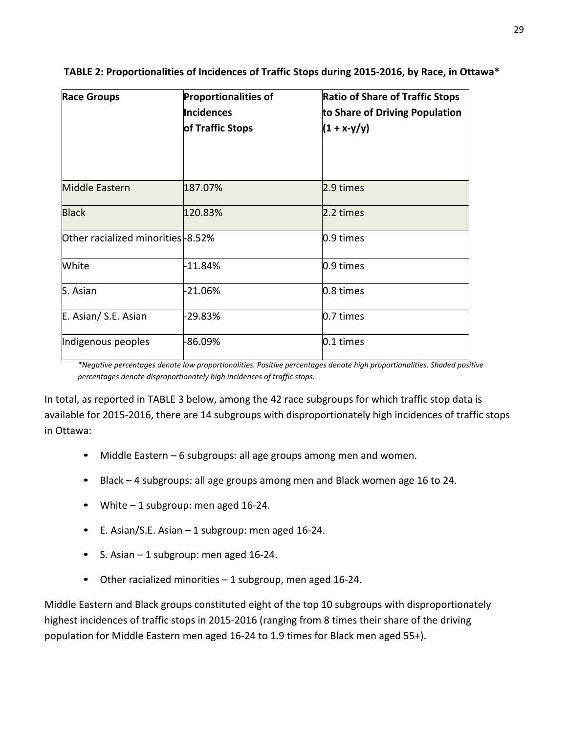| <b>Race Groups</b>                       | <b>Proportionalities of</b><br>Incidences<br>of Traffic Stops | <b>Ratio of Share of Traffic Stops</b><br>to Share of Driving Population<br>$(1 + x-y/y)$ |
|------------------------------------------|---------------------------------------------------------------|-------------------------------------------------------------------------------------------|
| <b>Middle Eastern</b>                    | 187.07%                                                       | 2.9 times                                                                                 |
| <b>Black</b>                             | 120.83%                                                       | 2.2 times                                                                                 |
| <b>Other racialized minorities-8.52%</b> |                                                               | 0.9 times                                                                                 |
| White                                    | $-11.84%$                                                     | 0.9 times                                                                                 |
| S. Asian                                 | -21.06%                                                       | 0.8 times                                                                                 |
| E. Asian/ S.E. Asian                     | -29.83%                                                       | 0.7 times                                                                                 |
| Indigenous peoples                       | 86.09%                                                        | 0.1 times                                                                                 |

#### **TABLE 2: Proportionalities of Incidences of Traffic Stops during 2015-2016, by Race, in Ottawa\***

*\*Negative percentages denote low proportionalities. Positive percentages denote high proportionalities. Shaded positive percentages denote disproportionately high incidences of traffic stops.*

In total, as reported in TABLE 3 below, among the 42 race subgroups for which traffic stop data is available for 2015-2016, there are 14 subgroups with disproportionately high incidences of traffic stops in Ottawa:

- Middle Eastern 6 subgroups: all age groups among men and women.
- Black 4 subgroups: all age groups among men and Black women age 16 to 24.
- White 1 subgroup: men aged 16-24.
- E. Asian/S.E. Asian 1 subgroup: men aged 16-24.
- S. Asian 1 subgroup: men aged 16-24.
- Other racialized minorities 1 subgroup, men aged 16-24.

Middle Eastern and Black groups constituted eight of the top 10 subgroups with disproportionately highest incidences of traffic stops in 2015-2016 (ranging from 8 times their share of the driving population for Middle Eastern men aged 16-24 to 1.9 times for Black men aged 55+).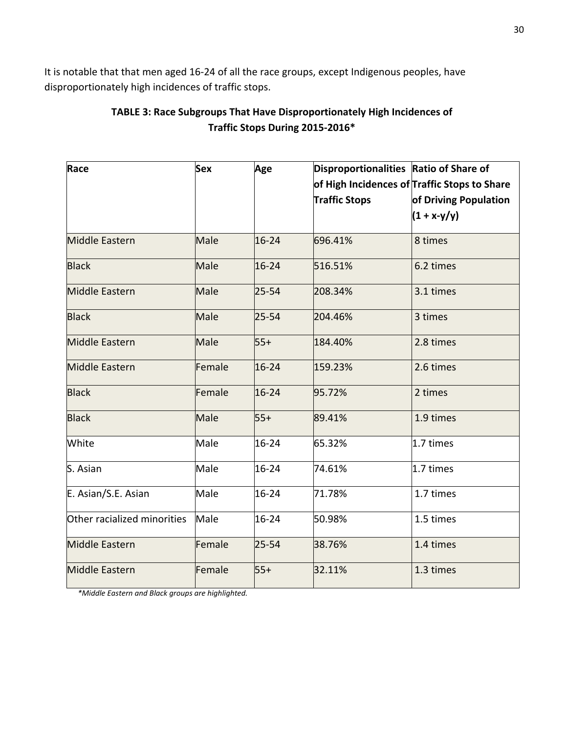It is notable that that men aged 16-24 of all the race groups, except Indigenous peoples, have disproportionately high incidences of traffic stops.

| TABLE 3: Race Subgroups That Have Disproportionately High Incidences of |
|-------------------------------------------------------------------------|
| Traffic Stops During 2015-2016*                                         |

| Race                        | <b>Sex</b> | Age       | Disproportionalities Ratio of Share of |                                              |
|-----------------------------|------------|-----------|----------------------------------------|----------------------------------------------|
|                             |            |           |                                        | of High Incidences of Traffic Stops to Share |
|                             |            |           | Traffic Stops                          | of Driving Population                        |
|                             |            |           |                                        | $(1 + x-y/y)$                                |
| <b>Middle Eastern</b>       | Male       | $16 - 24$ | 696.41%                                | 8 times                                      |
| <b>Black</b>                | Male       | $16 - 24$ | 516.51%                                | 6.2 times                                    |
| <b>Middle Eastern</b>       | Male       | $25 - 54$ | 208.34%                                | 3.1 times                                    |
| <b>Black</b>                | Male       | $25 - 54$ | 204.46%                                | 3 times                                      |
| <b>Middle Eastern</b>       | Male       | $55+$     | 184.40%                                | 2.8 times                                    |
| <b>Middle Eastern</b>       | Female     | $16 - 24$ | 159.23%                                | 2.6 times                                    |
| <b>Black</b>                | Female     | $16 - 24$ | 95.72%                                 | 2 times                                      |
| <b>Black</b>                | Male       | $55+$     | 89.41%                                 | 1.9 times                                    |
| White                       | Male       | 16-24     | 65.32%                                 | 1.7 times                                    |
| S. Asian                    | Male       | 16-24     | 74.61%                                 | 1.7 times                                    |
| E. Asian/S.E. Asian         | Male       | 16-24     | 71.78%                                 | 1.7 times                                    |
| Other racialized minorities | Male       | 16-24     | 50.98%                                 | 1.5 times                                    |
| <b>Middle Eastern</b>       | Female     | $25 - 54$ | 38.76%                                 | 1.4 times                                    |
| <b>Middle Eastern</b>       | Female     | $55+$     | 32.11%                                 | 1.3 times                                    |

*\*Middle Eastern and Black groups are highlighted.*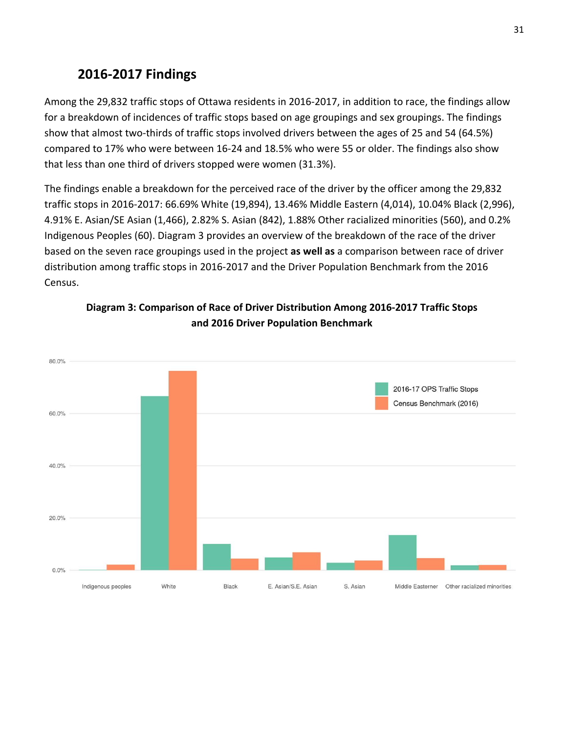## **2016-2017 Findings**

Among the 29,832 traffic stops of Ottawa residents in 2016-2017, in addition to race, the findings allow for a breakdown of incidences of traffic stops based on age groupings and sex groupings. The findings show that almost two-thirds of traffic stops involved drivers between the ages of 25 and 54 (64.5%) compared to 17% who were between 16-24 and 18.5% who were 55 or older. The findings also show that less than one third of drivers stopped were women (31.3%).

The findings enable a breakdown for the perceived race of the driver by the officer among the 29,832 traffic stops in 2016-2017: 66.69% White (19,894), 13.46% Middle Eastern (4,014), 10.04% Black (2,996), 4.91% E. Asian/SE Asian (1,466), 2.82% S. Asian (842), 1.88% Other racialized minorities (560), and 0.2% Indigenous Peoples (60). Diagram 3 provides an overview of the breakdown of the race of the driver based on the seven race groupings used in the project **as well as** a comparison between race of driver distribution among traffic stops in 2016-2017 and the Driver Population Benchmark from the 2016 Census.



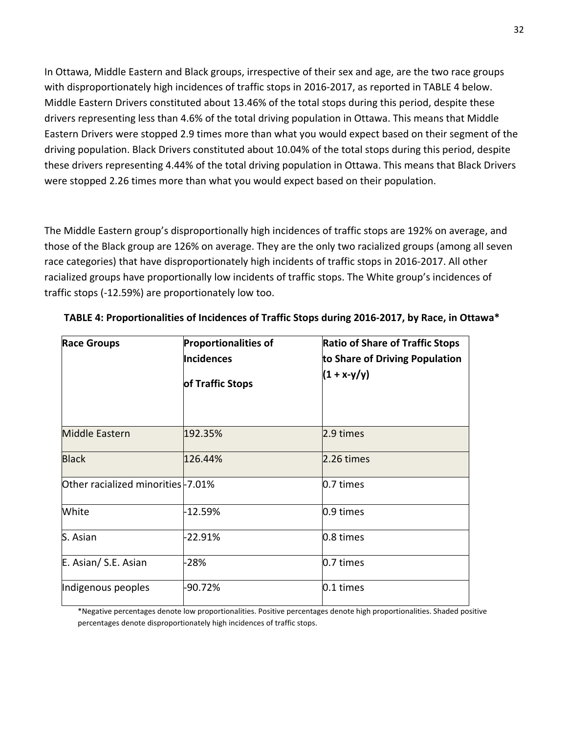In Ottawa, Middle Eastern and Black groups, irrespective of their sex and age, are the two race groups with disproportionately high incidences of traffic stops in 2016-2017, as reported in TABLE 4 below. Middle Eastern Drivers constituted about 13.46% of the total stops during this period, despite these drivers representing less than 4.6% of the total driving population in Ottawa. This means that Middle Eastern Drivers were stopped 2.9 times more than what you would expect based on their segment of the driving population. Black Drivers constituted about 10.04% of the total stops during this period, despite these drivers representing 4.44% of the total driving population in Ottawa. This means that Black Drivers were stopped 2.26 times more than what you would expect based on their population.

The Middle Eastern group's disproportionally high incidences of traffic stops are 192% on average, and those of the Black group are 126% on average. They are the only two racialized groups (among all seven race categories) that have disproportionately high incidents of traffic stops in 2016-2017. All other racialized groups have proportionally low incidents of traffic stops. The White group's incidences of traffic stops (-12.59%) are proportionately low too.

| <b>Race Groups</b>                | <b>Proportionalities of</b><br>Incidences<br>of Traffic Stops | <b>Ratio of Share of Traffic Stops</b><br>to Share of Driving Population<br>$(1 + x-y/y)$ |
|-----------------------------------|---------------------------------------------------------------|-------------------------------------------------------------------------------------------|
| <b>Middle Eastern</b>             | 192.35%                                                       | 2.9 times                                                                                 |
| <b>Black</b>                      | 126.44%                                                       | 2.26 times                                                                                |
| Other racialized minorities-7.01% |                                                               | 0.7 times                                                                                 |
| White                             | -12.59%                                                       | 0.9 times                                                                                 |
| S. Asian                          | -22.91%                                                       | 0.8 times                                                                                 |
| E. Asian/ S.E. Asian              | $-28%$                                                        | 0.7 times                                                                                 |
| Indigenous peoples                | $-90.72%$                                                     | 0.1 times                                                                                 |

**TABLE 4: Proportionalities of Incidences of Traffic Stops during 2016-2017, by Race, in Ottawa\***

\*Negative percentages denote low proportionalities. Positive percentages denote high proportionalities. Shaded positive percentages denote disproportionately high incidences of traffic stops.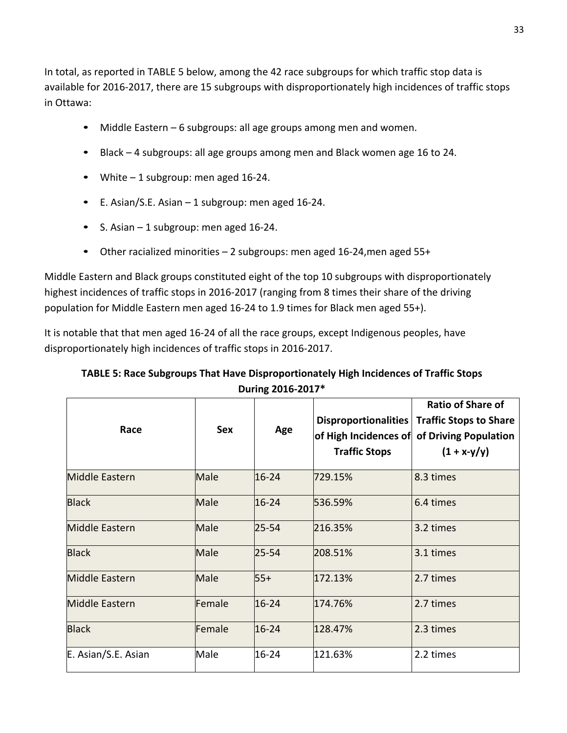In total, as reported in TABLE 5 below, among the 42 race subgroups for which traffic stop data is available for 2016-2017, there are 15 subgroups with disproportionately high incidences of traffic stops in Ottawa:

- Middle Eastern 6 subgroups: all age groups among men and women.
- Black 4 subgroups: all age groups among men and Black women age 16 to 24.
- White 1 subgroup: men aged 16-24.
- E. Asian/S.E. Asian 1 subgroup: men aged 16-24.
- S. Asian 1 subgroup: men aged 16-24.
- Other racialized minorities 2 subgroups: men aged 16-24,men aged 55+

Middle Eastern and Black groups constituted eight of the top 10 subgroups with disproportionately highest incidences of traffic stops in 2016-2017 (ranging from 8 times their share of the driving population for Middle Eastern men aged 16-24 to 1.9 times for Black men aged 55+).

It is notable that that men aged 16-24 of all the race groups, except Indigenous peoples, have disproportionately high incidences of traffic stops in 2016-2017.

#### **TABLE 5: Race Subgroups That Have Disproportionately High Incidences of Traffic Stops During 2016-2017\***

| Race                  | <b>Sex</b> | Age       | Disproportionalities<br>of High Incidences of<br><b>Traffic Stops</b> | <b>Ratio of Share of</b><br><b>Traffic Stops to Share</b><br>of Driving Population<br>$(1 + x-y/y)$ |
|-----------------------|------------|-----------|-----------------------------------------------------------------------|-----------------------------------------------------------------------------------------------------|
| <b>Middle Eastern</b> | Male       | $16 - 24$ | 729.15%                                                               | 8.3 times                                                                                           |
| <b>Black</b>          | Male       | $16 - 24$ | 536.59%                                                               | 6.4 times                                                                                           |
| <b>Middle Eastern</b> | Male       | $25 - 54$ | 216.35%                                                               | 3.2 times                                                                                           |
| <b>Black</b>          | Male       | $25 - 54$ | 208.51%                                                               | 3.1 times                                                                                           |
| <b>Middle Eastern</b> | Male       | $55+$     | 172.13%                                                               | 2.7 times                                                                                           |
| <b>Middle Eastern</b> | Female     | $16 - 24$ | 174.76%                                                               | 2.7 times                                                                                           |
| <b>Black</b>          | Female     | $16 - 24$ | 128.47%                                                               | 2.3 times                                                                                           |
| E. Asian/S.E. Asian   | Male       | 16-24     | 121.63%                                                               | 2.2 times                                                                                           |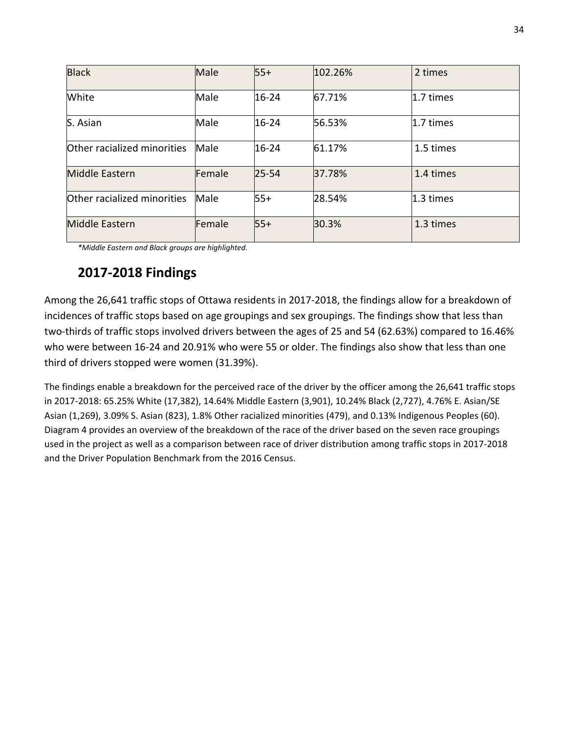| <b>Black</b>                | Male   | $55+$     | 102.26% | 2 times   |
|-----------------------------|--------|-----------|---------|-----------|
| White                       | Male   | 16-24     | 67.71%  | 1.7 times |
| S. Asian                    | Male   | 16-24     | 56.53%  | 1.7 times |
| Other racialized minorities | Male   | $16 - 24$ | 61.17%  | 1.5 times |
| <b>Middle Eastern</b>       | Female | $25 - 54$ | 37.78%  | 1.4 times |
| Other racialized minorities | Male   | $55+$     | 28.54%  | 1.3 times |
| <b>Middle Eastern</b>       | Female | $55+$     | 30.3%   | 1.3 times |

*\*Middle Eastern and Black groups are highlighted.*

## **2017-2018 Findings**

Among the 26,641 traffic stops of Ottawa residents in 2017-2018, the findings allow for a breakdown of incidences of traffic stops based on age groupings and sex groupings. The findings show that less than two-thirds of traffic stops involved drivers between the ages of 25 and 54 (62.63%) compared to 16.46% who were between 16-24 and 20.91% who were 55 or older. The findings also show that less than one third of drivers stopped were women (31.39%).

The findings enable a breakdown for the perceived race of the driver by the officer among the 26,641 traffic stops in 2017-2018: 65.25% White (17,382), 14.64% Middle Eastern (3,901), 10.24% Black (2,727), 4.76% E. Asian/SE Asian (1,269), 3.09% S. Asian (823), 1.8% Other racialized minorities (479), and 0.13% Indigenous Peoples (60). Diagram 4 provides an overview of the breakdown of the race of the driver based on the seven race groupings used in the project as well as a comparison between race of driver distribution among traffic stops in 2017-2018 and the Driver Population Benchmark from the 2016 Census.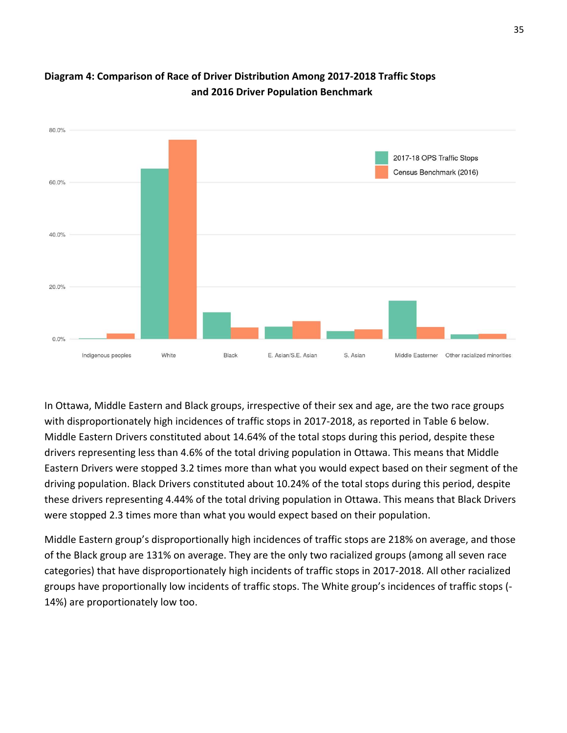

## **Diagram 4: Comparison of Race of Driver Distribution Among 2017-2018 Traffic Stops and 2016 Driver Population Benchmark**

In Ottawa, Middle Eastern and Black groups, irrespective of their sex and age, are the two race groups with disproportionately high incidences of traffic stops in 2017-2018, as reported in Table 6 below. Middle Eastern Drivers constituted about 14.64% of the total stops during this period, despite these drivers representing less than 4.6% of the total driving population in Ottawa. This means that Middle Eastern Drivers were stopped 3.2 times more than what you would expect based on their segment of the driving population. Black Drivers constituted about 10.24% of the total stops during this period, despite these drivers representing 4.44% of the total driving population in Ottawa. This means that Black Drivers were stopped 2.3 times more than what you would expect based on their population.

Middle Eastern group's disproportionally high incidences of traffic stops are 218% on average, and those of the Black group are 131% on average. They are the only two racialized groups (among all seven race categories) that have disproportionately high incidents of traffic stops in 2017-2018. All other racialized groups have proportionally low incidents of traffic stops. The White group's incidences of traffic stops (- 14%) are proportionately low too.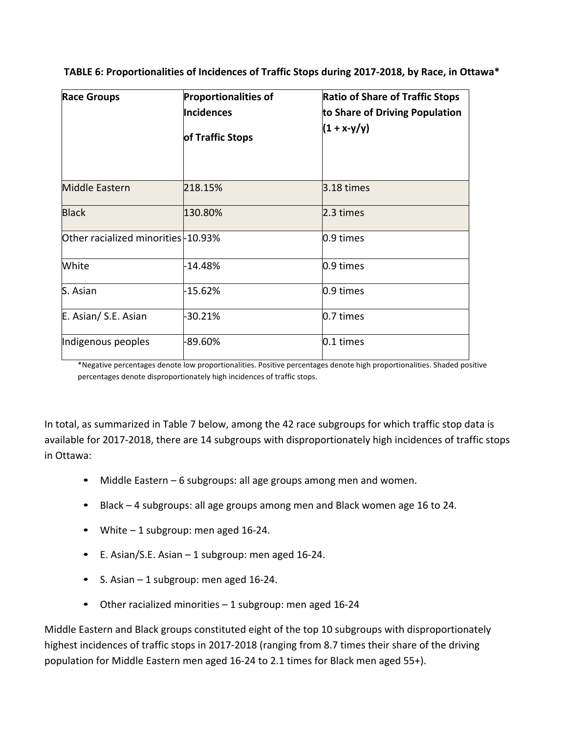| TABLE 6: Proportionalities of Incidences of Traffic Stops during 2017-2018, by Race, in Ottawa* |  |  |
|-------------------------------------------------------------------------------------------------|--|--|
|                                                                                                 |  |  |

| <b>Race Groups</b>                 | <b>Proportionalities of</b><br><b>Incidences</b><br>of Traffic Stops | <b>Ratio of Share of Traffic Stops</b><br>to Share of Driving Population<br>$(1 + x-y/y)$ |
|------------------------------------|----------------------------------------------------------------------|-------------------------------------------------------------------------------------------|
| <b>Middle Eastern</b>              | 218.15%                                                              | 3.18 times                                                                                |
| <b>Black</b>                       | 130.80%                                                              | 2.3 times                                                                                 |
| Other racialized minorities-10.93% |                                                                      | 0.9 times                                                                                 |
| White                              | -14.48%                                                              | 0.9 times                                                                                 |
| S. Asian                           | -15.62%                                                              | 0.9 times                                                                                 |
| E. Asian/ S.E. Asian               | -30.21%                                                              | 0.7 times                                                                                 |
| Indigenous peoples                 | -89.60%                                                              | 0.1 times                                                                                 |

\*Negative percentages denote low proportionalities. Positive percentages denote high proportionalities. Shaded positive percentages denote disproportionately high incidences of traffic stops.

In total, as summarized in Table 7 below, among the 42 race subgroups for which traffic stop data is available for 2017-2018, there are 14 subgroups with disproportionately high incidences of traffic stops in Ottawa:

- Middle Eastern 6 subgroups: all age groups among men and women.
- Black 4 subgroups: all age groups among men and Black women age 16 to 24.
- White 1 subgroup: men aged 16-24.
- E. Asian/S.E. Asian 1 subgroup: men aged 16-24.
- S. Asian 1 subgroup: men aged 16-24.
- Other racialized minorities 1 subgroup: men aged 16-24

Middle Eastern and Black groups constituted eight of the top 10 subgroups with disproportionately highest incidences of traffic stops in 2017-2018 (ranging from 8.7 times their share of the driving population for Middle Eastern men aged 16-24 to 2.1 times for Black men aged 55+).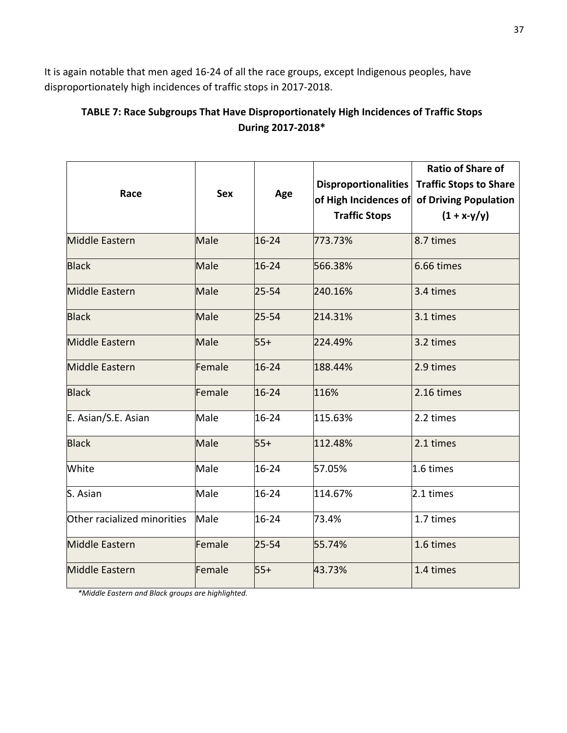It is again notable that men aged 16-24 of all the race groups, except Indigenous peoples, have disproportionately high incidences of traffic stops in 2017-2018.

## **TABLE 7: Race Subgroups That Have Disproportionately High Incidences of Traffic Stops During 2017-2018\***

| Race                        | <b>Sex</b> | Age       | <b>Disproportionalities</b><br>of High Incidences of<br><b>Traffic Stops</b> | <b>Ratio of Share of</b><br><b>Traffic Stops to Share</b><br>of Driving Population<br>$(1 + x-y/y)$ |
|-----------------------------|------------|-----------|------------------------------------------------------------------------------|-----------------------------------------------------------------------------------------------------|
| <b>Middle Eastern</b>       | Male       | $16 - 24$ | 773.73%                                                                      | 8.7 times                                                                                           |
| <b>Black</b>                | Male       | $16 - 24$ | 566.38%                                                                      | 6.66 times                                                                                          |
| <b>Middle Eastern</b>       | Male       | $25 - 54$ | 240.16%                                                                      | 3.4 times                                                                                           |
| <b>Black</b>                | Male       | $25 - 54$ | 214.31%                                                                      | 3.1 times                                                                                           |
| <b>Middle Eastern</b>       | Male       | $55+$     | 224.49%                                                                      | 3.2 times                                                                                           |
| <b>Middle Eastern</b>       | Female     | $16 - 24$ | 188.44%                                                                      | 2.9 times                                                                                           |
| <b>Black</b>                | Female     | $16 - 24$ | 116%                                                                         | 2.16 times                                                                                          |
| E. Asian/S.E. Asian         | Male       | 16-24     | 115.63%                                                                      | 2.2 times                                                                                           |
| <b>Black</b>                | Male       | $55+$     | 112.48%                                                                      | 2.1 times                                                                                           |
| White                       | Male       | 16-24     | 57.05%                                                                       | 1.6 times                                                                                           |
| S. Asian                    | Male       | 16-24     | 114.67%                                                                      | 2.1 times                                                                                           |
| Other racialized minorities | Male       | 16-24     | 73.4%                                                                        | 1.7 times                                                                                           |
| <b>Middle Eastern</b>       | Female     | $25 - 54$ | 55.74%                                                                       | 1.6 times                                                                                           |
| <b>Middle Eastern</b>       | Female     | $55+$     | 43.73%                                                                       | 1.4 times                                                                                           |

*\*Middle Eastern and Black groups are highlighted.*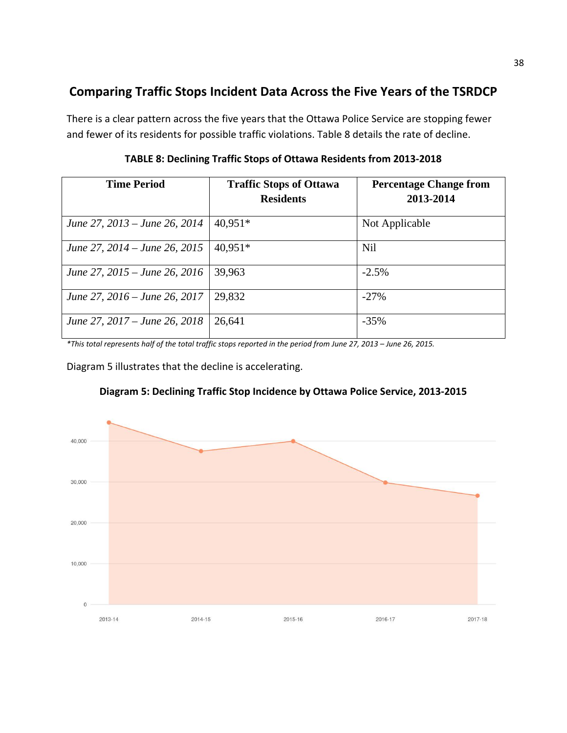## **Comparing Traffic Stops Incident Data Across the Five Years of the TSRDCP**

There is a clear pattern across the five years that the Ottawa Police Service are stopping fewer and fewer of its residents for possible traffic violations. Table 8 details the rate of decline.

| <b>Time Period</b>            | <b>Traffic Stops of Ottawa</b> | <b>Percentage Change from</b> |
|-------------------------------|--------------------------------|-------------------------------|
|                               | <b>Residents</b>               | 2013-2014                     |
| June 27, 2013 – June 26, 2014 | 40,951*                        | Not Applicable                |
| June 27, 2014 – June 26, 2015 | $40,951*$                      | <b>Nil</b>                    |
| June 27, 2015 – June 26, 2016 | 39,963                         | $-2.5%$                       |
| June 27, 2016 – June 26, 2017 | 29,832                         | $-27%$                        |
| June 27, 2017 – June 26, 2018 | 26,641                         | $-35%$                        |

**TABLE 8: Declining Traffic Stops of Ottawa Residents from 2013-2018**

*\*This total represents half of the total traffic stops reported in the period from June 27, 2013 – June 26, 2015.*

Diagram 5 illustrates that the decline is accelerating.



**Diagram 5: Declining Traffic Stop Incidence by Ottawa Police Service, 2013-2015**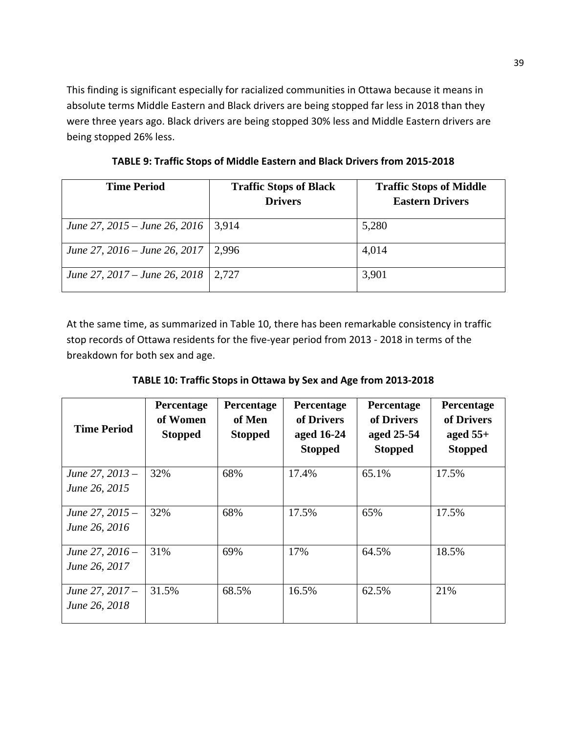This finding is significant especially for racialized communities in Ottawa because it means in absolute terms Middle Eastern and Black drivers are being stopped far less in 2018 than they were three years ago. Black drivers are being stopped 30% less and Middle Eastern drivers are being stopped 26% less.

**TABLE 9: Traffic Stops of Middle Eastern and Black Drivers from 2015-2018**

| <b>Time Period</b>                    | <b>Traffic Stops of Black</b> | <b>Traffic Stops of Middle</b> |
|---------------------------------------|-------------------------------|--------------------------------|
|                                       | <b>Drivers</b>                | <b>Eastern Drivers</b>         |
| June 27, 2015 – June 26, 2016   3,914 |                               | 5,280                          |
| June 27, 2016 – June 26, 2017         | 2.996                         | 4,014                          |
| June 27, 2017 – June 26, 2018         | 2,727                         | 3,901                          |

At the same time, as summarized in Table 10, there has been remarkable consistency in traffic stop records of Ottawa residents for the five-year period from 2013 - 2018 in terms of the breakdown for both sex and age.

**TABLE 10: Traffic Stops in Ottawa by Sex and Age from 2013-2018**

| <b>Time Period</b>                 | Percentage<br>of Women<br><b>Stopped</b> | Percentage<br>of Men<br><b>Stopped</b> | Percentage<br>of Drivers<br>aged 16-24<br><b>Stopped</b> | Percentage<br>of Drivers<br>aged 25-54<br><b>Stopped</b> | Percentage<br>of Drivers<br>aged $55+$<br><b>Stopped</b> |
|------------------------------------|------------------------------------------|----------------------------------------|----------------------------------------------------------|----------------------------------------------------------|----------------------------------------------------------|
| June 27, 2013 -<br>June 26, 2015   | 32%                                      | 68%                                    | 17.4%                                                    | 65.1%                                                    | 17.5%                                                    |
| June 27, 2015 -<br>June 26, 2016   | 32%                                      | 68%                                    | 17.5%                                                    | 65%                                                      | 17.5%                                                    |
| June 27, $2016 -$<br>June 26, 2017 | 31%                                      | 69%                                    | 17%                                                      | 64.5%                                                    | 18.5%                                                    |
| June 27, 2017 –<br>June 26, 2018   | 31.5%                                    | 68.5%                                  | 16.5%                                                    | 62.5%                                                    | 21%                                                      |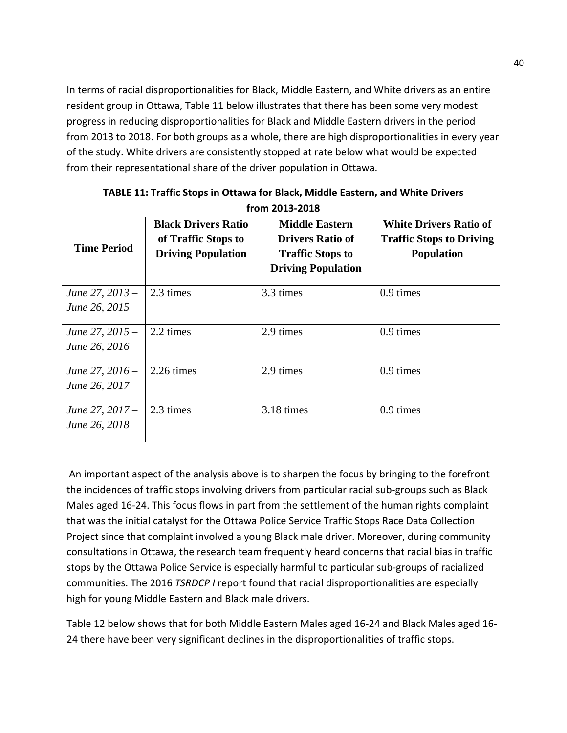In terms of racial disproportionalities for Black, Middle Eastern, and White drivers as an entire resident group in Ottawa, Table 11 below illustrates that there has been some very modest progress in reducing disproportionalities for Black and Middle Eastern drivers in the period from 2013 to 2018. For both groups as a whole, there are high disproportionalities in every year of the study. White drivers are consistently stopped at rate below what would be expected from their representational share of the driver population in Ottawa.

| <b>Time Period</b>                 | <b>Black Drivers Ratio</b><br>of Traffic Stops to<br><b>Driving Population</b> | <b>Middle Eastern</b><br><b>Drivers Ratio of</b><br><b>Traffic Stops to</b><br><b>Driving Population</b> | <b>White Drivers Ratio of</b><br><b>Traffic Stops to Driving</b><br><b>Population</b> |
|------------------------------------|--------------------------------------------------------------------------------|----------------------------------------------------------------------------------------------------------|---------------------------------------------------------------------------------------|
| June 27, $2013 -$<br>June 26, 2015 | 2.3 times                                                                      | 3.3 times                                                                                                | 0.9 times                                                                             |
| June 27, $2015 -$<br>June 26, 2016 | 2.2 times                                                                      | 2.9 times                                                                                                | 0.9 times                                                                             |
| June 27, $2016 -$<br>June 26, 2017 | 2.26 times                                                                     | 2.9 times                                                                                                | 0.9 times                                                                             |
| June 27, 2017 –<br>June 26, 2018   | 2.3 times                                                                      | 3.18 times                                                                                               | 0.9 times                                                                             |

#### **TABLE 11: Traffic Stops in Ottawa for Black, Middle Eastern, and White Drivers from 2013-2018**

An important aspect of the analysis above is to sharpen the focus by bringing to the forefront the incidences of traffic stops involving drivers from particular racial sub-groups such as Black Males aged 16-24. This focus flows in part from the settlement of the human rights complaint that was the initial catalyst for the Ottawa Police Service Traffic Stops Race Data Collection Project since that complaint involved a young Black male driver. Moreover, during community consultations in Ottawa, the research team frequently heard concerns that racial bias in traffic stops by the Ottawa Police Service is especially harmful to particular sub-groups of racialized communities. The 2016 *TSRDCP I* report found that racial disproportionalities are especially high for young Middle Eastern and Black male drivers.

Table 12 below shows that for both Middle Eastern Males aged 16-24 and Black Males aged 16- 24 there have been very significant declines in the disproportionalities of traffic stops.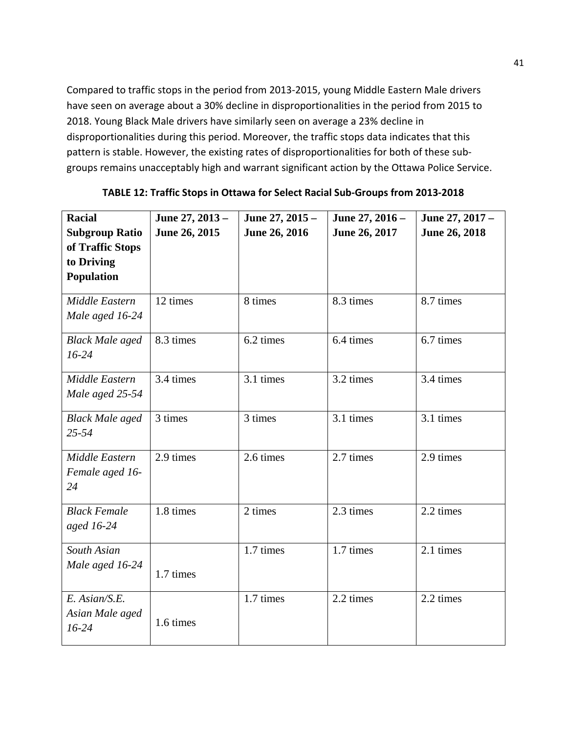Compared to traffic stops in the period from 2013-2015, young Middle Eastern Male drivers have seen on average about a 30% decline in disproportionalities in the period from 2015 to 2018. Young Black Male drivers have similarly seen on average a 23% decline in disproportionalities during this period. Moreover, the traffic stops data indicates that this pattern is stable. However, the existing rates of disproportionalities for both of these subgroups remains unacceptably high and warrant significant action by the Ottawa Police Service.

| <b>Racial</b>          | June 27, 2013 - | June 27, 2015 - | June 27, 2016 - | June 27, 2017 - |
|------------------------|-----------------|-----------------|-----------------|-----------------|
| <b>Subgroup Ratio</b>  | June 26, 2015   | June 26, 2016   | June 26, 2017   | June 26, 2018   |
| of Traffic Stops       |                 |                 |                 |                 |
| to Driving             |                 |                 |                 |                 |
| Population             |                 |                 |                 |                 |
| Middle Eastern         | 12 times        | 8 times         | 8.3 times       | 8.7 times       |
| Male aged 16-24        |                 |                 |                 |                 |
| <b>Black Male aged</b> | 8.3 times       | 6.2 times       | 6.4 times       | 6.7 times       |
| $16 - 24$              |                 |                 |                 |                 |
| Middle Eastern         | 3.4 times       | 3.1 times       | 3.2 times       | 3.4 times       |
| Male aged 25-54        |                 |                 |                 |                 |
| <b>Black Male aged</b> | 3 times         | 3 times         | 3.1 times       | 3.1 times       |
| 25-54                  |                 |                 |                 |                 |
| Middle Eastern         | 2.9 times       | 2.6 times       | 2.7 times       | 2.9 times       |
| Female aged 16-        |                 |                 |                 |                 |
| 24                     |                 |                 |                 |                 |
| <b>Black Female</b>    | 1.8 times       | 2 times         | 2.3 times       | 2.2 times       |
| aged 16-24             |                 |                 |                 |                 |
| South Asian            |                 | 1.7 times       | 1.7 times       | 2.1 times       |
| Male aged 16-24        | 1.7 times       |                 |                 |                 |
|                        |                 |                 |                 |                 |
| E. Asian/S.E.          |                 | 1.7 times       | 2.2 times       | 2.2 times       |
| Asian Male aged        | 1.6 times       |                 |                 |                 |
| $16 - 24$              |                 |                 |                 |                 |
|                        |                 |                 |                 |                 |

#### **TABLE 12: Traffic Stops in Ottawa for Select Racial Sub-Groups from 2013-2018**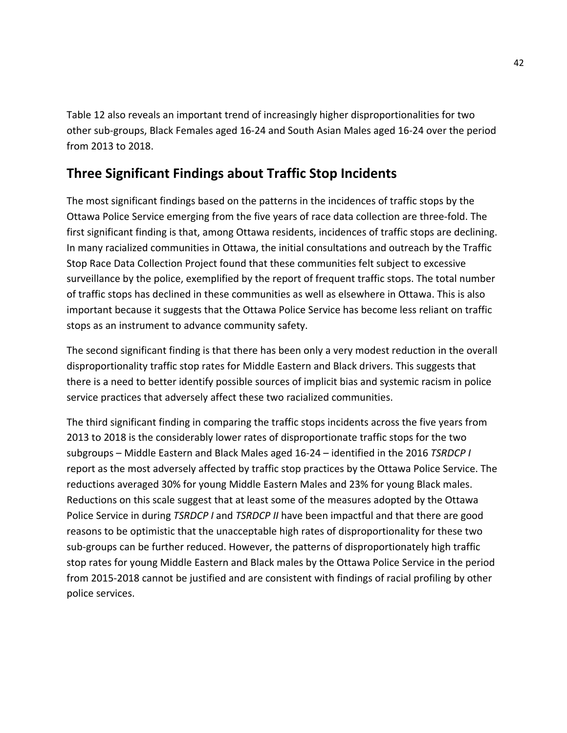Table 12 also reveals an important trend of increasingly higher disproportionalities for two other sub-groups, Black Females aged 16-24 and South Asian Males aged 16-24 over the period from 2013 to 2018.

## **Three Significant Findings about Traffic Stop Incidents**

The most significant findings based on the patterns in the incidences of traffic stops by the Ottawa Police Service emerging from the five years of race data collection are three-fold. The first significant finding is that, among Ottawa residents, incidences of traffic stops are declining. In many racialized communities in Ottawa, the initial consultations and outreach by the Traffic Stop Race Data Collection Project found that these communities felt subject to excessive surveillance by the police, exemplified by the report of frequent traffic stops. The total number of traffic stops has declined in these communities as well as elsewhere in Ottawa. This is also important because it suggests that the Ottawa Police Service has become less reliant on traffic stops as an instrument to advance community safety.

The second significant finding is that there has been only a very modest reduction in the overall disproportionality traffic stop rates for Middle Eastern and Black drivers. This suggests that there is a need to better identify possible sources of implicit bias and systemic racism in police service practices that adversely affect these two racialized communities.

The third significant finding in comparing the traffic stops incidents across the five years from 2013 to 2018 is the considerably lower rates of disproportionate traffic stops for the two subgroups – Middle Eastern and Black Males aged 16-24 – identified in the 2016 *TSRDCP I* report as the most adversely affected by traffic stop practices by the Ottawa Police Service. The reductions averaged 30% for young Middle Eastern Males and 23% for young Black males. Reductions on this scale suggest that at least some of the measures adopted by the Ottawa Police Service in during *TSRDCP I* and *TSRDCP II* have been impactful and that there are good reasons to be optimistic that the unacceptable high rates of disproportionality for these two sub-groups can be further reduced. However, the patterns of disproportionately high traffic stop rates for young Middle Eastern and Black males by the Ottawa Police Service in the period from 2015-2018 cannot be justified and are consistent with findings of racial profiling by other police services.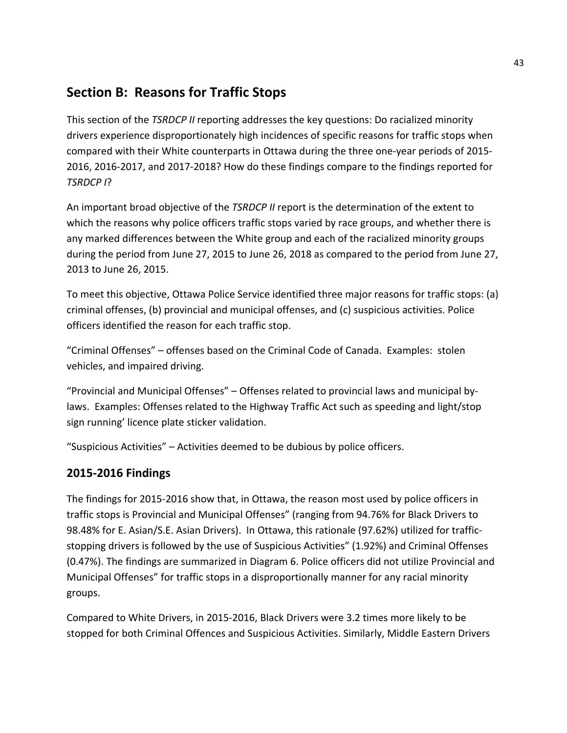## **Section B: Reasons for Traffic Stops**

This section of the *TSRDCP II* reporting addresses the key questions: Do racialized minority drivers experience disproportionately high incidences of specific reasons for traffic stops when compared with their White counterparts in Ottawa during the three one-year periods of 2015- 2016, 2016-2017, and 2017-2018? How do these findings compare to the findings reported for *TSRDCP I*?

An important broad objective of the *TSRDCP II* report is the determination of the extent to which the reasons why police officers traffic stops varied by race groups, and whether there is any marked differences between the White group and each of the racialized minority groups during the period from June 27, 2015 to June 26, 2018 as compared to the period from June 27, 2013 to June 26, 2015.

To meet this objective, Ottawa Police Service identified three major reasons for traffic stops: (a) criminal offenses, (b) provincial and municipal offenses, and (c) suspicious activities. Police officers identified the reason for each traffic stop.

"Criminal Offenses" – offenses based on the Criminal Code of Canada. Examples: stolen vehicles, and impaired driving.

"Provincial and Municipal Offenses" – Offenses related to provincial laws and municipal bylaws. Examples: Offenses related to the Highway Traffic Act such as speeding and light/stop sign running' licence plate sticker validation.

"Suspicious Activities" – Activities deemed to be dubious by police officers.

## **2015-2016 Findings**

The findings for 2015-2016 show that, in Ottawa, the reason most used by police officers in traffic stops is Provincial and Municipal Offenses" (ranging from 94.76% for Black Drivers to 98.48% for E. Asian/S.E. Asian Drivers). In Ottawa, this rationale (97.62%) utilized for trafficstopping drivers is followed by the use of Suspicious Activities" (1.92%) and Criminal Offenses (0.47%). The findings are summarized in Diagram 6. Police officers did not utilize Provincial and Municipal Offenses" for traffic stops in a disproportionally manner for any racial minority groups.

Compared to White Drivers, in 2015-2016, Black Drivers were 3.2 times more likely to be stopped for both Criminal Offences and Suspicious Activities. Similarly, Middle Eastern Drivers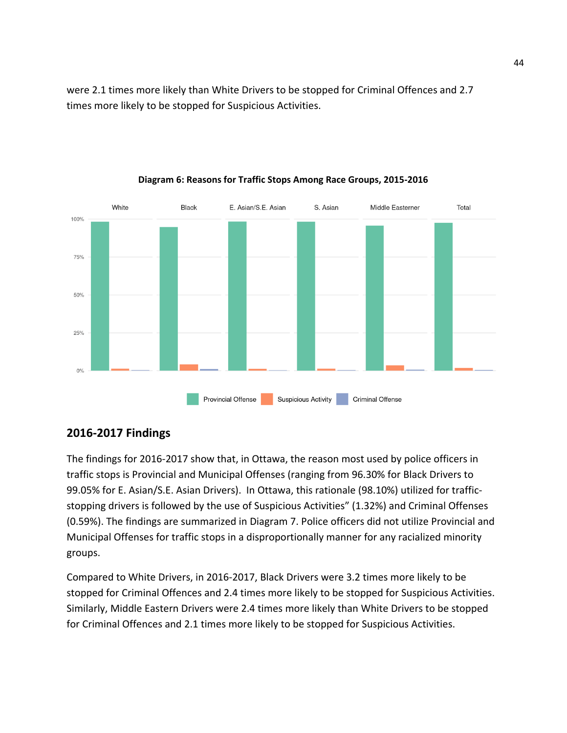were 2.1 times more likely than White Drivers to be stopped for Criminal Offences and 2.7 times more likely to be stopped for Suspicious Activities.



#### **Diagram 6: Reasons for Traffic Stops Among Race Groups, 2015-2016**

#### **2016-2017 Findings**

The findings for 2016-2017 show that, in Ottawa, the reason most used by police officers in traffic stops is Provincial and Municipal Offenses (ranging from 96.30% for Black Drivers to 99.05% for E. Asian/S.E. Asian Drivers). In Ottawa, this rationale (98.10%) utilized for trafficstopping drivers is followed by the use of Suspicious Activities" (1.32%) and Criminal Offenses (0.59%). The findings are summarized in Diagram 7. Police officers did not utilize Provincial and Municipal Offenses for traffic stops in a disproportionally manner for any racialized minority groups.

Compared to White Drivers, in 2016-2017, Black Drivers were 3.2 times more likely to be stopped for Criminal Offences and 2.4 times more likely to be stopped for Suspicious Activities. Similarly, Middle Eastern Drivers were 2.4 times more likely than White Drivers to be stopped for Criminal Offences and 2.1 times more likely to be stopped for Suspicious Activities.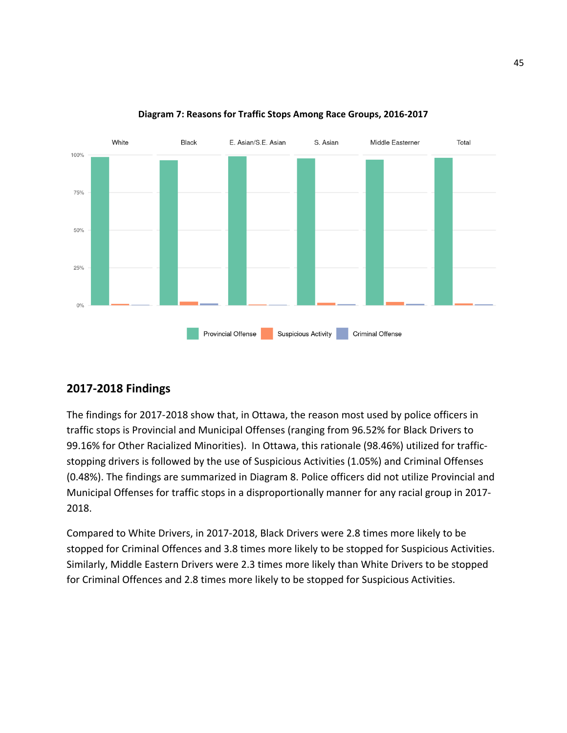

#### **Diagram 7: Reasons for Traffic Stops Among Race Groups, 2016-2017**

#### **2017-2018 Findings**

The findings for 2017-2018 show that, in Ottawa, the reason most used by police officers in traffic stops is Provincial and Municipal Offenses (ranging from 96.52% for Black Drivers to 99.16% for Other Racialized Minorities). In Ottawa, this rationale (98.46%) utilized for trafficstopping drivers is followed by the use of Suspicious Activities (1.05%) and Criminal Offenses (0.48%). The findings are summarized in Diagram 8. Police officers did not utilize Provincial and Municipal Offenses for traffic stops in a disproportionally manner for any racial group in 2017- 2018.

Compared to White Drivers, in 2017-2018, Black Drivers were 2.8 times more likely to be stopped for Criminal Offences and 3.8 times more likely to be stopped for Suspicious Activities. Similarly, Middle Eastern Drivers were 2.3 times more likely than White Drivers to be stopped for Criminal Offences and 2.8 times more likely to be stopped for Suspicious Activities.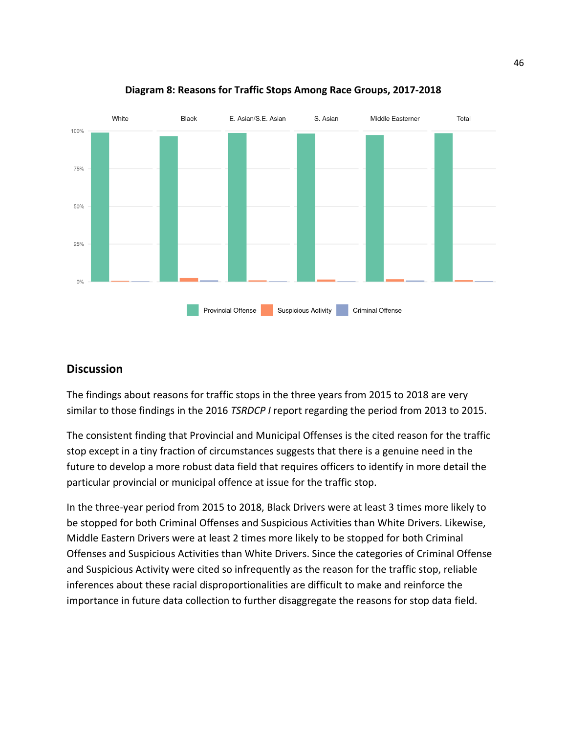



#### **Discussion**

The findings about reasons for traffic stops in the three years from 2015 to 2018 are very similar to those findings in the 2016 *TSRDCP I* report regarding the period from 2013 to 2015.

The consistent finding that Provincial and Municipal Offenses is the cited reason for the traffic stop except in a tiny fraction of circumstances suggests that there is a genuine need in the future to develop a more robust data field that requires officers to identify in more detail the particular provincial or municipal offence at issue for the traffic stop.

In the three-year period from 2015 to 2018, Black Drivers were at least 3 times more likely to be stopped for both Criminal Offenses and Suspicious Activities than White Drivers. Likewise, Middle Eastern Drivers were at least 2 times more likely to be stopped for both Criminal Offenses and Suspicious Activities than White Drivers. Since the categories of Criminal Offense and Suspicious Activity were cited so infrequently as the reason for the traffic stop, reliable inferences about these racial disproportionalities are difficult to make and reinforce the importance in future data collection to further disaggregate the reasons for stop data field.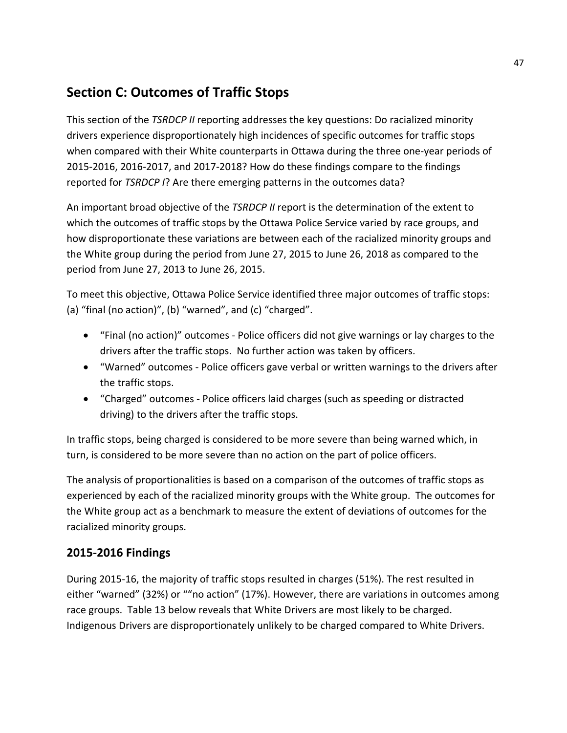## **Section C: Outcomes of Traffic Stops**

This section of the *TSRDCP II* reporting addresses the key questions: Do racialized minority drivers experience disproportionately high incidences of specific outcomes for traffic stops when compared with their White counterparts in Ottawa during the three one-year periods of 2015-2016, 2016-2017, and 2017-2018? How do these findings compare to the findings reported for *TSRDCP I*? Are there emerging patterns in the outcomes data?

An important broad objective of the *TSRDCP II* report is the determination of the extent to which the outcomes of traffic stops by the Ottawa Police Service varied by race groups, and how disproportionate these variations are between each of the racialized minority groups and the White group during the period from June 27, 2015 to June 26, 2018 as compared to the period from June 27, 2013 to June 26, 2015.

To meet this objective, Ottawa Police Service identified three major outcomes of traffic stops: (a) "final (no action)", (b) "warned", and (c) "charged".

- "Final (no action)" outcomes Police officers did not give warnings or lay charges to the drivers after the traffic stops. No further action was taken by officers.
- "Warned" outcomes Police officers gave verbal or written warnings to the drivers after the traffic stops.
- "Charged" outcomes Police officers laid charges (such as speeding or distracted driving) to the drivers after the traffic stops.

In traffic stops, being charged is considered to be more severe than being warned which, in turn, is considered to be more severe than no action on the part of police officers.

The analysis of proportionalities is based on a comparison of the outcomes of traffic stops as experienced by each of the racialized minority groups with the White group. The outcomes for the White group act as a benchmark to measure the extent of deviations of outcomes for the racialized minority groups.

## **2015-2016 Findings**

During 2015-16, the majority of traffic stops resulted in charges (51%). The rest resulted in either "warned" (32%) or ""no action" (17%). However, there are variations in outcomes among race groups. Table 13 below reveals that White Drivers are most likely to be charged. Indigenous Drivers are disproportionately unlikely to be charged compared to White Drivers.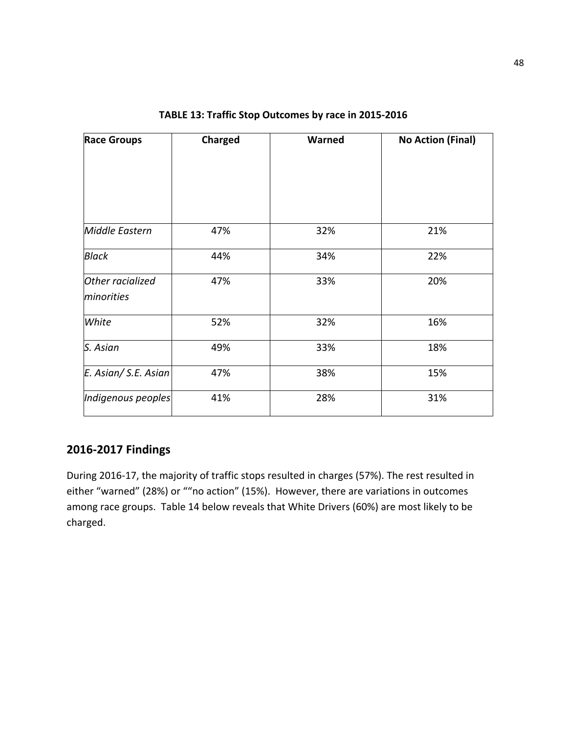| <b>Race Groups</b>             | <b>Charged</b> | Warned | <b>No Action (Final)</b> |
|--------------------------------|----------------|--------|--------------------------|
|                                |                |        |                          |
|                                |                |        |                          |
| Middle Eastern                 | 47%            | 32%    | 21%                      |
| <b>Black</b>                   | 44%            | 34%    | 22%                      |
| Other racialized<br>minorities | 47%            | 33%    | 20%                      |
| White                          | 52%            | 32%    | 16%                      |
| S. Asian                       | 49%            | 33%    | 18%                      |
| E. Asian/ S.E. Asian           | 47%            | 38%    | 15%                      |
| Indigenous peoples             | 41%            | 28%    | 31%                      |

#### **TABLE 13: Traffic Stop Outcomes by race in 2015-2016**

#### **2016-2017 Findings**

During 2016-17, the majority of traffic stops resulted in charges (57%). The rest resulted in either "warned" (28%) or ""no action" (15%). However, there are variations in outcomes among race groups. Table 14 below reveals that White Drivers (60%) are most likely to be charged.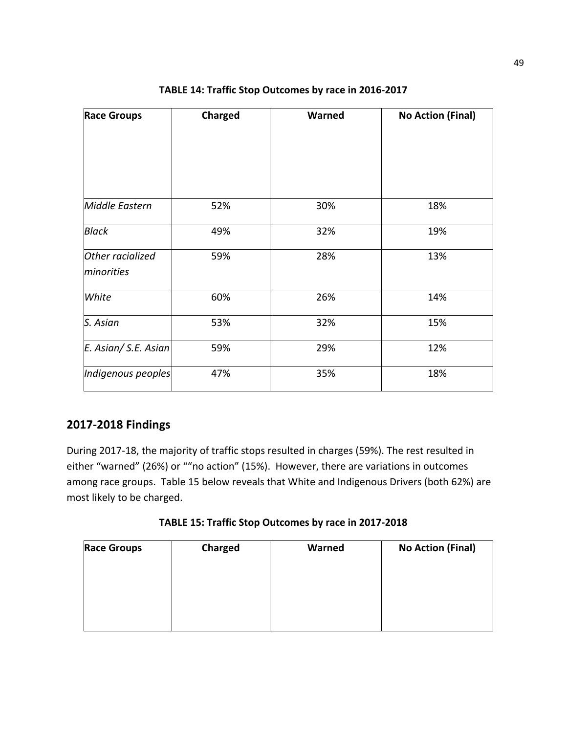| <b>Race Groups</b>             | <b>Charged</b> | Warned | <b>No Action (Final)</b> |
|--------------------------------|----------------|--------|--------------------------|
|                                |                |        |                          |
| Middle Eastern                 | 52%            | 30%    | 18%                      |
| <b>Black</b>                   | 49%            | 32%    | 19%                      |
| Other racialized<br>minorities | 59%            | 28%    | 13%                      |
| White                          | 60%            | 26%    | 14%                      |
| S. Asian                       | 53%            | 32%    | 15%                      |
| E. Asian/ S.E. Asian           | 59%            | 29%    | 12%                      |
| Indigenous peoples             | 47%            | 35%    | 18%                      |

**TABLE 14: Traffic Stop Outcomes by race in 2016-2017**

#### **2017-2018 Findings**

During 2017-18, the majority of traffic stops resulted in charges (59%). The rest resulted in either "warned" (26%) or ""no action" (15%). However, there are variations in outcomes among race groups. Table 15 below reveals that White and Indigenous Drivers (both 62%) are most likely to be charged.

| TABLE 15: Traffic Stop Outcomes by race in 2017-2018 |  |  |  |
|------------------------------------------------------|--|--|--|
|------------------------------------------------------|--|--|--|

| <b>Race Groups</b> | Charged | Warned | <b>No Action (Final)</b> |
|--------------------|---------|--------|--------------------------|
|                    |         |        |                          |
|                    |         |        |                          |
|                    |         |        |                          |
|                    |         |        |                          |
|                    |         |        |                          |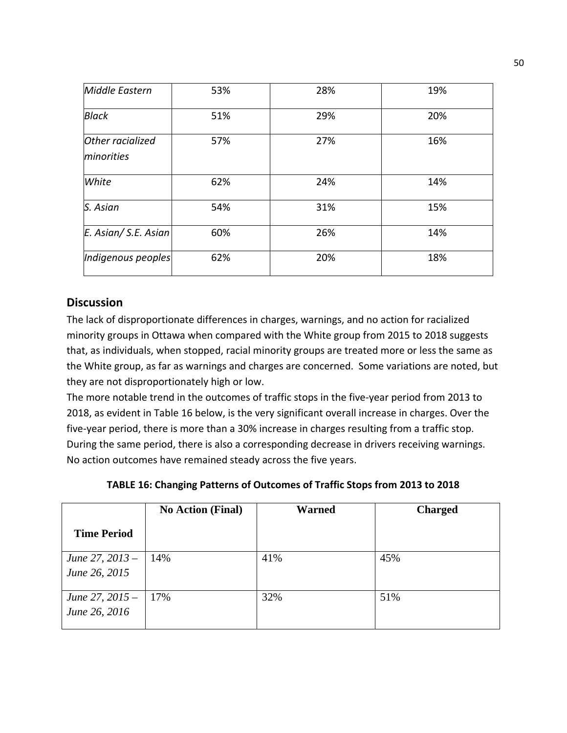| Middle Eastern                 | 53% | 28% | 19% |
|--------------------------------|-----|-----|-----|
| <b>Black</b>                   | 51% | 29% | 20% |
| Other racialized<br>minorities | 57% | 27% | 16% |
| White                          | 62% | 24% | 14% |
| S. Asian                       | 54% | 31% | 15% |
| E. Asian/ S.E. Asian           | 60% | 26% | 14% |
| Indigenous peoples             | 62% | 20% | 18% |

#### **Discussion**

The lack of disproportionate differences in charges, warnings, and no action for racialized minority groups in Ottawa when compared with the White group from 2015 to 2018 suggests that, as individuals, when stopped, racial minority groups are treated more or less the same as the White group, as far as warnings and charges are concerned. Some variations are noted, but they are not disproportionately high or low.

The more notable trend in the outcomes of traffic stops in the five-year period from 2013 to 2018, as evident in Table 16 below, is the very significant overall increase in charges. Over the five-year period, there is more than a 30% increase in charges resulting from a traffic stop. During the same period, there is also a corresponding decrease in drivers receiving warnings. No action outcomes have remained steady across the five years.

| TABLE 16: Changing Patterns of Outcomes of Traffic Stops from 2013 to 2018 |
|----------------------------------------------------------------------------|
|----------------------------------------------------------------------------|

|                    | <b>No Action (Final)</b> | <b>Warned</b> | <b>Charged</b> |
|--------------------|--------------------------|---------------|----------------|
| <b>Time Period</b> |                          |               |                |
| June 27, 2013 –    | 14%                      | 41%           | 45%            |
| June 26, 2015      |                          |               |                |
| June 27, 2015 -    | 17%                      | 32%           | 51%            |
| June 26, 2016      |                          |               |                |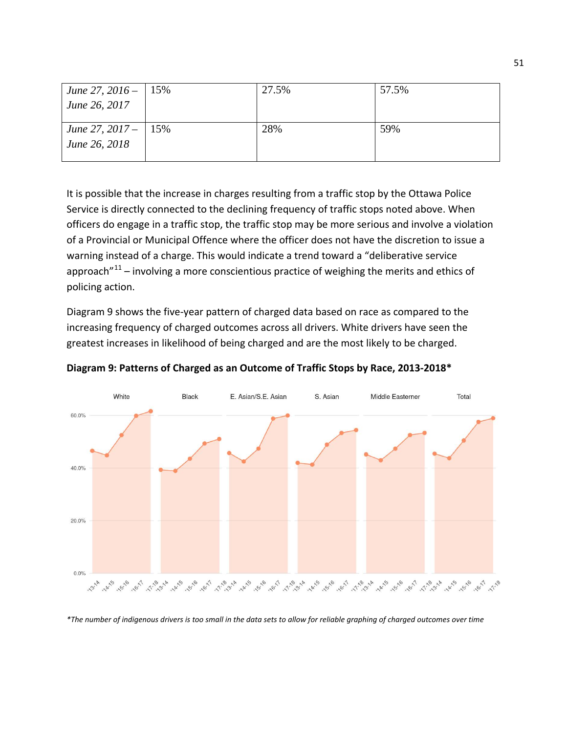| June 27, 2016 – 15% | 27.5% | 57.5% |
|---------------------|-------|-------|
| June 26, 2017       |       |       |
|                     |       |       |
| June 27, 2017 – 15% | 28%   | 59%   |
| June 26, 2018       |       |       |
|                     |       |       |

It is possible that the increase in charges resulting from a traffic stop by the Ottawa Police Service is directly connected to the declining frequency of traffic stops noted above. When officers do engage in a traffic stop, the traffic stop may be more serious and involve a violation of a Provincial or Municipal Offence where the officer does not have the discretion to issue a warning instead of a charge. This would indicate a trend toward a "deliberative service approach $"^{11}$  $"^{11}$  $"^{11}$  – involving a more conscientious practice of weighing the merits and ethics of policing action.

Diagram 9 shows the five-year pattern of charged data based on race as compared to the increasing frequency of charged outcomes across all drivers. White drivers have seen the greatest increases in likelihood of being charged and are the most likely to be charged.



**Diagram 9: Patterns of Charged as an Outcome of Traffic Stops by Race, 2013-2018\***

*\*The number of indigenous drivers is too small in the data sets to allow for reliable graphing of charged outcomes over time*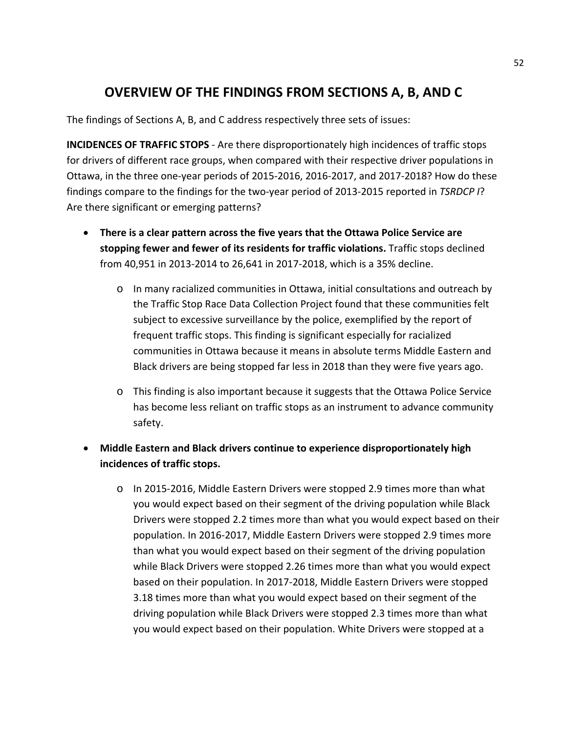## **OVERVIEW OF THE FINDINGS FROM SECTIONS A, B, AND C**

The findings of Sections A, B, and C address respectively three sets of issues:

**INCIDENCES OF TRAFFIC STOPS** - Are there disproportionately high incidences of traffic stops for drivers of different race groups, when compared with their respective driver populations in Ottawa, in the three one-year periods of 2015-2016, 2016-2017, and 2017-2018? How do these findings compare to the findings for the two-year period of 2013-2015 reported in *TSRDCP I*? Are there significant or emerging patterns?

- **There is a clear pattern across the five years that the Ottawa Police Service are stopping fewer and fewer of its residents for traffic violations.** Traffic stops declined from 40,951 in 2013-2014 to 26,641 in 2017-2018, which is a 35% decline.
	- o In many racialized communities in Ottawa, initial consultations and outreach by the Traffic Stop Race Data Collection Project found that these communities felt subject to excessive surveillance by the police, exemplified by the report of frequent traffic stops. This finding is significant especially for racialized communities in Ottawa because it means in absolute terms Middle Eastern and Black drivers are being stopped far less in 2018 than they were five years ago.
	- o This finding is also important because it suggests that the Ottawa Police Service has become less reliant on traffic stops as an instrument to advance community safety.
- **Middle Eastern and Black drivers continue to experience disproportionately high incidences of traffic stops.** 
	- o In 2015-2016, Middle Eastern Drivers were stopped 2.9 times more than what you would expect based on their segment of the driving population while Black Drivers were stopped 2.2 times more than what you would expect based on their population. In 2016-2017, Middle Eastern Drivers were stopped 2.9 times more than what you would expect based on their segment of the driving population while Black Drivers were stopped 2.26 times more than what you would expect based on their population. In 2017-2018, Middle Eastern Drivers were stopped 3.18 times more than what you would expect based on their segment of the driving population while Black Drivers were stopped 2.3 times more than what you would expect based on their population. White Drivers were stopped at a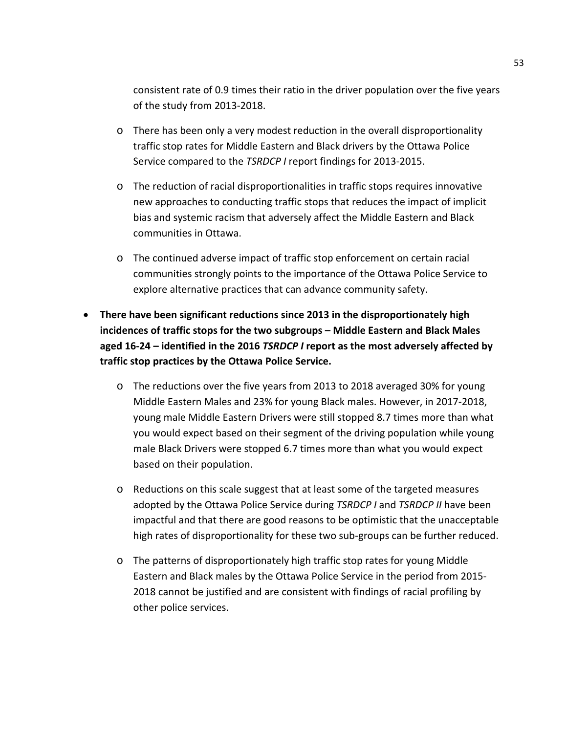consistent rate of 0.9 times their ratio in the driver population over the five years of the study from 2013-2018.

- o There has been only a very modest reduction in the overall disproportionality traffic stop rates for Middle Eastern and Black drivers by the Ottawa Police Service compared to the *TSRDCP I* report findings for 2013-2015.
- o The reduction of racial disproportionalities in traffic stops requires innovative new approaches to conducting traffic stops that reduces the impact of implicit bias and systemic racism that adversely affect the Middle Eastern and Black communities in Ottawa.
- o The continued adverse impact of traffic stop enforcement on certain racial communities strongly points to the importance of the Ottawa Police Service to explore alternative practices that can advance community safety.
- **There have been significant reductions since 2013 in the disproportionately high incidences of traffic stops for the two subgroups – Middle Eastern and Black Males aged 16-24 – identified in the 2016** *TSRDCP I* **report as the most adversely affected by traffic stop practices by the Ottawa Police Service.** 
	- o The reductions over the five years from 2013 to 2018 averaged 30% for young Middle Eastern Males and 23% for young Black males. However, in 2017-2018, young male Middle Eastern Drivers were still stopped 8.7 times more than what you would expect based on their segment of the driving population while young male Black Drivers were stopped 6.7 times more than what you would expect based on their population.
	- o Reductions on this scale suggest that at least some of the targeted measures adopted by the Ottawa Police Service during *TSRDCP I* and *TSRDCP II* have been impactful and that there are good reasons to be optimistic that the unacceptable high rates of disproportionality for these two sub-groups can be further reduced.
	- o The patterns of disproportionately high traffic stop rates for young Middle Eastern and Black males by the Ottawa Police Service in the period from 2015- 2018 cannot be justified and are consistent with findings of racial profiling by other police services.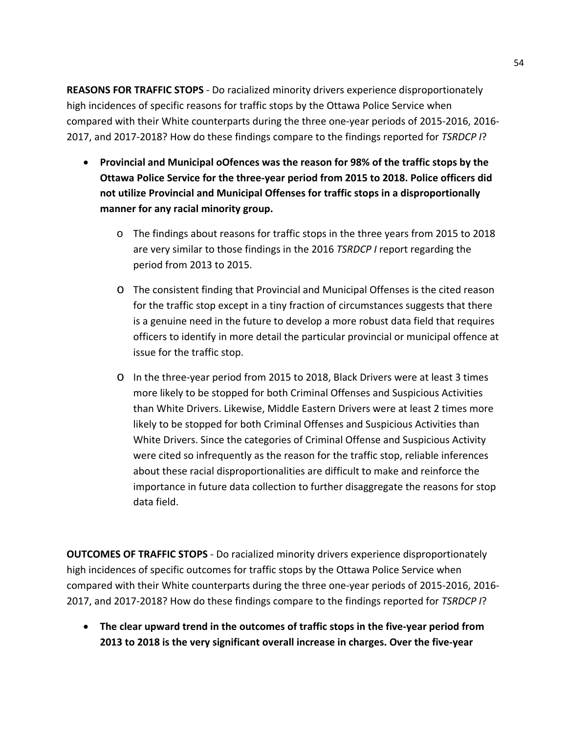**REASONS FOR TRAFFIC STOPS** - Do racialized minority drivers experience disproportionately high incidences of specific reasons for traffic stops by the Ottawa Police Service when compared with their White counterparts during the three one-year periods of 2015-2016, 2016- 2017, and 2017-2018? How do these findings compare to the findings reported for *TSRDCP I*?

- **Provincial and Municipal oOfences was the reason for 98% of the traffic stops by the Ottawa Police Service for the three-year period from 2015 to 2018. Police officers did not utilize Provincial and Municipal Offenses for traffic stops in a disproportionally manner for any racial minority group.**
	- o The findings about reasons for traffic stops in the three years from 2015 to 2018 are very similar to those findings in the 2016 *TSRDCP I* report regarding the period from 2013 to 2015.
	- o The consistent finding that Provincial and Municipal Offenses is the cited reason for the traffic stop except in a tiny fraction of circumstances suggests that there is a genuine need in the future to develop a more robust data field that requires officers to identify in more detail the particular provincial or municipal offence at issue for the traffic stop.
	- o In the three-year period from 2015 to 2018, Black Drivers were at least 3 times more likely to be stopped for both Criminal Offenses and Suspicious Activities than White Drivers. Likewise, Middle Eastern Drivers were at least 2 times more likely to be stopped for both Criminal Offenses and Suspicious Activities than White Drivers. Since the categories of Criminal Offense and Suspicious Activity were cited so infrequently as the reason for the traffic stop, reliable inferences about these racial disproportionalities are difficult to make and reinforce the importance in future data collection to further disaggregate the reasons for stop data field.

**OUTCOMES OF TRAFFIC STOPS** - Do racialized minority drivers experience disproportionately high incidences of specific outcomes for traffic stops by the Ottawa Police Service when compared with their White counterparts during the three one-year periods of 2015-2016, 2016- 2017, and 2017-2018? How do these findings compare to the findings reported for *TSRDCP I*?

• **The clear upward trend in the outcomes of traffic stops in the five-year period from 2013 to 2018 is the very significant overall increase in charges. Over the five-year**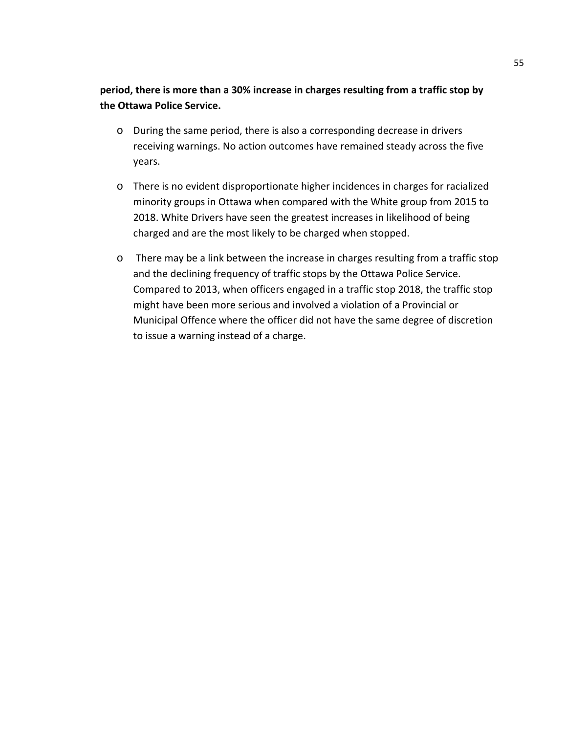**period, there is more than a 30% increase in charges resulting from a traffic stop by the Ottawa Police Service.**

- o During the same period, there is also a corresponding decrease in drivers receiving warnings. No action outcomes have remained steady across the five years.
- o There is no evident disproportionate higher incidences in charges for racialized minority groups in Ottawa when compared with the White group from 2015 to 2018. White Drivers have seen the greatest increases in likelihood of being charged and are the most likely to be charged when stopped.
- o There may be a link between the increase in charges resulting from a traffic stop and the declining frequency of traffic stops by the Ottawa Police Service. Compared to 2013, when officers engaged in a traffic stop 2018, the traffic stop might have been more serious and involved a violation of a Provincial or Municipal Offence where the officer did not have the same degree of discretion to issue a warning instead of a charge.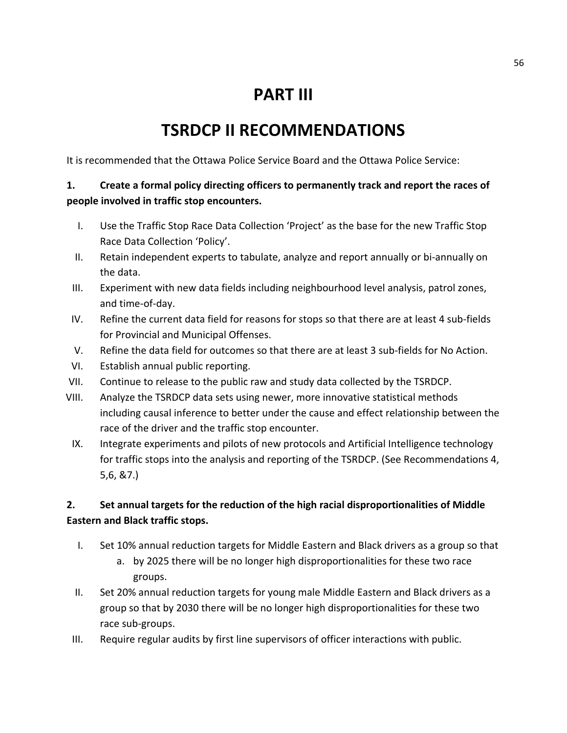## **PART III**

## **TSRDCP II RECOMMENDATIONS**

It is recommended that the Ottawa Police Service Board and the Ottawa Police Service:

#### **1. Create a formal policy directing officers to permanently track and report the races of people involved in traffic stop encounters.**

- I. Use the Traffic Stop Race Data Collection 'Project' as the base for the new Traffic Stop Race Data Collection 'Policy'.
- II. Retain independent experts to tabulate, analyze and report annually or bi-annually on the data.
- III. Experiment with new data fields including neighbourhood level analysis, patrol zones, and time-of-day.
- IV. Refine the current data field for reasons for stops so that there are at least 4 sub-fields for Provincial and Municipal Offenses.
- V. Refine the data field for outcomes so that there are at least 3 sub-fields for No Action.
- VI. Establish annual public reporting.
- VII. Continue to release to the public raw and study data collected by the TSRDCP.
- VIII. Analyze the TSRDCP data sets using newer, more innovative statistical methods including causal inference to better under the cause and effect relationship between the race of the driver and the traffic stop encounter.
- IX. Integrate experiments and pilots of new protocols and Artificial Intelligence technology for traffic stops into the analysis and reporting of the TSRDCP. (See Recommendations 4, 5,6, &7.)

#### **2. Set annual targets for the reduction of the high racial disproportionalities of Middle Eastern and Black traffic stops.**

- I. Set 10% annual reduction targets for Middle Eastern and Black drivers as a group so that
	- a. by 2025 there will be no longer high disproportionalities for these two race groups.
- II. Set 20% annual reduction targets for young male Middle Eastern and Black drivers as a group so that by 2030 there will be no longer high disproportionalities for these two race sub-groups.
- III. Require regular audits by first line supervisors of officer interactions with public.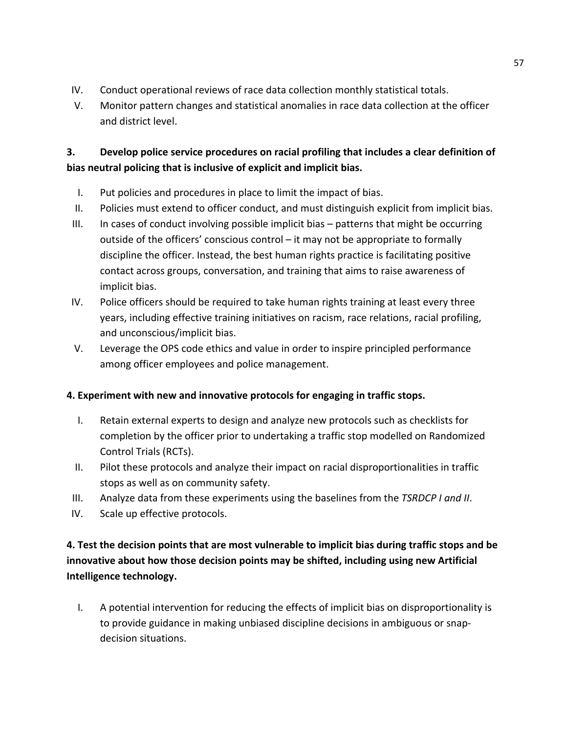- IV. Conduct operational reviews of race data collection monthly statistical totals.
- V. Monitor pattern changes and statistical anomalies in race data collection at the officer and district level.

## **3. Develop police service procedures on racial profiling that includes a clear definition of bias neutral policing that is inclusive of explicit and implicit bias.**

- I. Put policies and procedures in place to limit the impact of bias.
- II. Policies must extend to officer conduct, and must distinguish explicit from implicit bias.
- III. In cases of conduct involving possible implicit bias patterns that might be occurring outside of the officers' conscious control – it may not be appropriate to formally discipline the officer. Instead, the best human rights practice is facilitating positive contact across groups, conversation, and training that aims to raise awareness of implicit bias.
- IV. Police officers should be required to take human rights training at least every three years, including effective training initiatives on racism, race relations, racial profiling, and unconscious/implicit bias.
- V. Leverage the OPS code ethics and value in order to inspire principled performance among officer employees and police management.

#### **4. Experiment with new and innovative protocols for engaging in traffic stops.**

- I. Retain external experts to design and analyze new protocols such as checklists for completion by the officer prior to undertaking a traffic stop modelled on Randomized Control Trials (RCTs).
- II. Pilot these protocols and analyze their impact on racial disproportionalities in traffic stops as well as on community safety.
- III. Analyze data from these experiments using the baselines from the *TSRDCP I and II*.
- IV. Scale up effective protocols.

## **4. Test the decision points that are most vulnerable to implicit bias during traffic stops and be innovative about how those decision points may be shifted, including using new Artificial Intelligence technology.**

I. A potential intervention for reducing the effects of implicit bias on disproportionality is to provide guidance in making unbiased discipline decisions in ambiguous or snapdecision situations.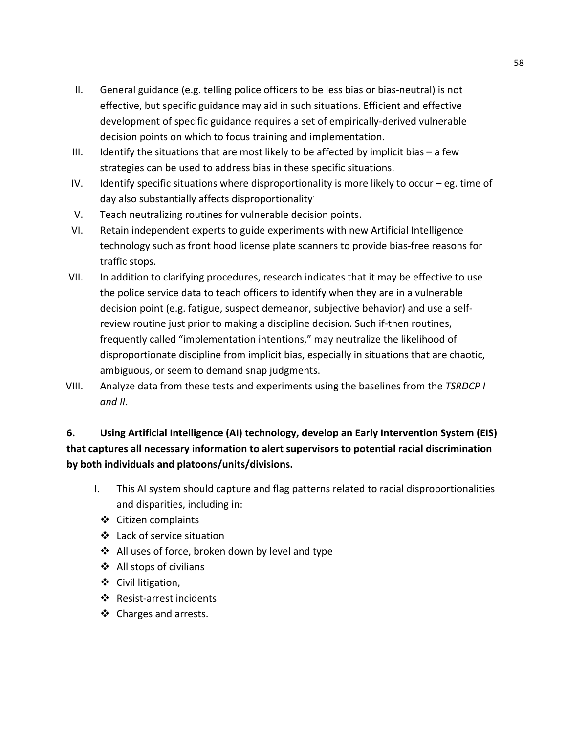- II. General guidance (e.g. telling police officers to be less bias or bias-neutral) is not effective, but specific guidance may aid in such situations. Efficient and effective development of specific guidance requires a set of empirically-derived vulnerable decision points on which to focus training and implementation.
- III. Identify the situations that are most likely to be affected by implicit bias  $-$  a few strategies can be used to address bias in these specific situations.
- IV. Identify specific situations where disproportionality is more likely to occur eg. time of day also substantially affects disproportionality.
- V. Teach neutralizing routines for vulnerable decision points.
- VI. Retain independent experts to guide experiments with new Artificial Intelligence technology such as front hood license plate scanners to provide bias-free reasons for traffic stops.
- VII. In addition to clarifying procedures, research indicates that it may be effective to use the police service data to teach officers to identify when they are in a vulnerable decision point (e.g. fatigue, suspect demeanor, subjective behavior) and use a selfreview routine just prior to making a discipline decision. Such if-then routines, frequently called "implementation intentions," may neutralize the likelihood of disproportionate discipline from implicit bias, especially in situations that are chaotic, ambiguous, or seem to demand snap judgments.
- VIII. Analyze data from these tests and experiments using the baselines from the *TSRDCP I and II*.

## **6. Using Artificial Intelligence (AI) technology, develop an Early Intervention System (EIS) that captures all necessary information to alert supervisors to potential racial discrimination by both individuals and platoons/units/divisions.**

- I. This AI system should capture and flag patterns related to racial disproportionalities and disparities, including in:
	- Citizen complaints
	- Lack of service situation
	- ❖ All uses of force, broken down by level and type
	- ❖ All stops of civilians
	- ❖ Civil litigation,
	- ❖ Resist-arrest incidents
	- ❖ Charges and arrests.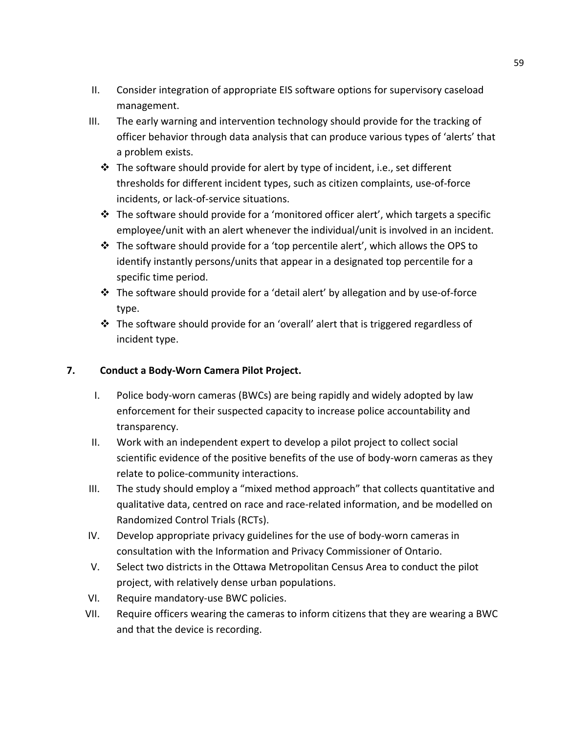- II. Consider integration of appropriate EIS software options for supervisory caseload management.
- <span id="page-58-1"></span><span id="page-58-0"></span>III. The early warning and intervention technology should provide for the tracking of officer behavior through data analysis that can produce various types of 'alerts' that a problem exists.
	- $\cdot \cdot$  The software should provide for alert by type of incident, i.e., set different thresholds for different incident types, such as citizen complaints, use-of-force incidents, or lack-of-service situations.
	- $\cdot \cdot$  The software should provide for a 'monitored officer alert', which targets a specific employee/unit with an alert whenever the individual/unit is involved in an incident.
	- $\cdot \cdot$  The software should provide for a 'top percentile alert', which allows the OPS to identify instantly persons/units that appear in a designated top percentile for a specific time period.
	- $\div$  The software should provide for a 'detail alert' by allegation and by use-of-force type.
	- The software should provide for an 'overall' alert that is triggered regardless of incident type.

#### **7. Conduct a Body-Worn Camera Pilot Project.**

- I. Police body-worn cameras (BWCs) are being rapidly and widely adopted by law enforcement for their suspected capacity to increase police accountability and transparency.
- II. Work with an independent expert to develop a pilot project to collect social scientific evidence of the positive benefits of the use of body-worn cameras as they relate to police-community interactions.
- III. The study should employ a "mixed method approach" that collects quantitative and qualitative data, centred on race and race-related information, and be modelled on Randomized Control Trials (RCTs).
- IV. Develop appropriate privacy guidelines for the use of body-worn cameras in consultation with the Information and Privacy Commissioner of Ontario.
- V. Select two districts in the Ottawa Metropolitan Census Area to conduct the pilot project, with relatively dense urban populations.
- VI. Require mandatory-use BWC policies.
- VII. Require officers wearing the cameras to inform citizens that they are wearing a BWC and that the device is recording.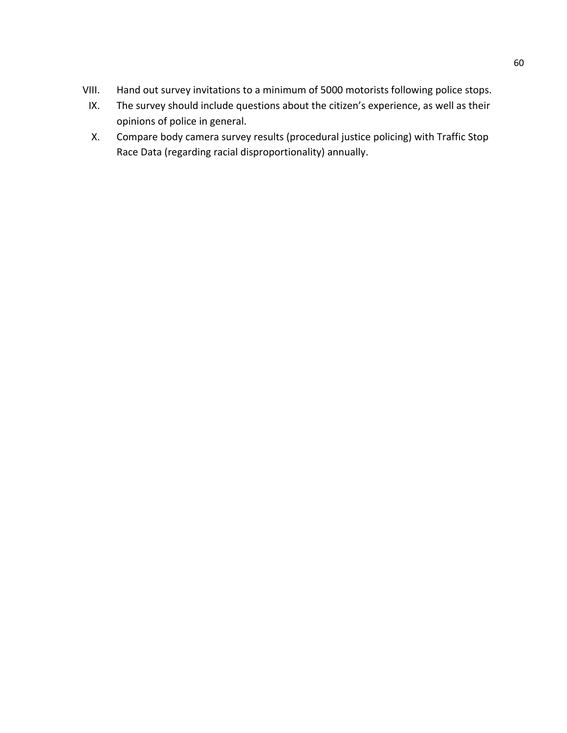- <span id="page-59-0"></span>VIII. Hand out survey invitations to a minimum of 5000 motorists following police stops.
	- IX. The survey should include questions about the citizen's experience, as well as their opinions of police in general.
	- X. Compare body camera survey results (procedural justice policing) with Traffic Stop Race Data (regarding racial disproportionality) annually.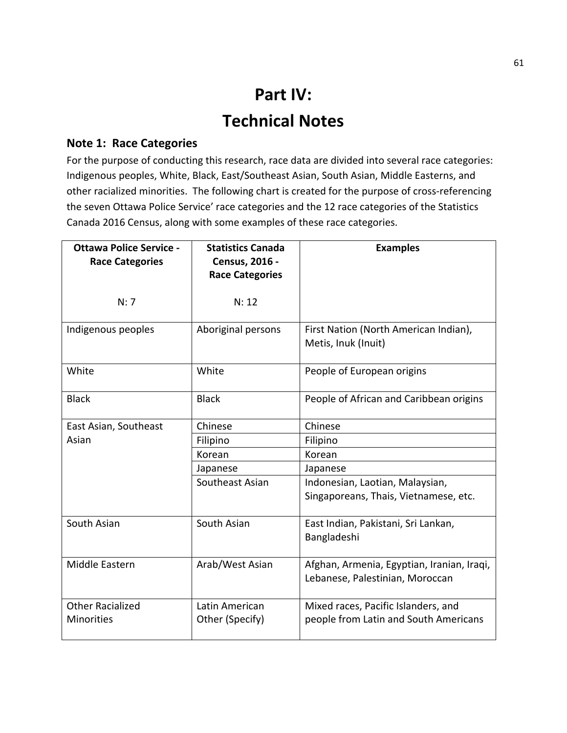## **Part IV: Technical Notes**

#### **Note 1: Race Categories**

For the purpose of conducting this research, race data are divided into several race categories: Indigenous peoples, White, Black, East/Southeast Asian, South Asian, Middle Easterns, and other racialized minorities. The following chart is created for the purpose of cross-referencing the seven Ottawa Police Service' race categories and the 12 race categories of the Statistics Canada 2016 Census, along with some examples of these race categories.

<span id="page-60-1"></span><span id="page-60-0"></span>

| <b>Ottawa Police Service -</b><br><b>Race Categories</b> | <b>Statistics Canada</b><br>Census, 2016 - | <b>Examples</b>                                                               |
|----------------------------------------------------------|--------------------------------------------|-------------------------------------------------------------------------------|
|                                                          | <b>Race Categories</b>                     |                                                                               |
| N: 7                                                     | N: 12                                      |                                                                               |
| Indigenous peoples                                       | Aboriginal persons                         | First Nation (North American Indian),<br>Metis, Inuk (Inuit)                  |
| White                                                    | White                                      | People of European origins                                                    |
| <b>Black</b>                                             | <b>Black</b>                               | People of African and Caribbean origins                                       |
| East Asian, Southeast                                    | Chinese                                    | Chinese                                                                       |
| Asian                                                    | Filipino                                   | Filipino                                                                      |
|                                                          | Korean                                     | Korean                                                                        |
|                                                          | Japanese                                   | Japanese                                                                      |
|                                                          | Southeast Asian                            | Indonesian, Laotian, Malaysian,<br>Singaporeans, Thais, Vietnamese, etc.      |
| South Asian                                              | South Asian                                | East Indian, Pakistani, Sri Lankan,<br>Bangladeshi                            |
| Middle Eastern                                           | Arab/West Asian                            | Afghan, Armenia, Egyptian, Iranian, Iraqi,<br>Lebanese, Palestinian, Moroccan |
| <b>Other Racialized</b><br><b>Minorities</b>             | Latin American<br>Other (Specify)          | Mixed races, Pacific Islanders, and<br>people from Latin and South Americans  |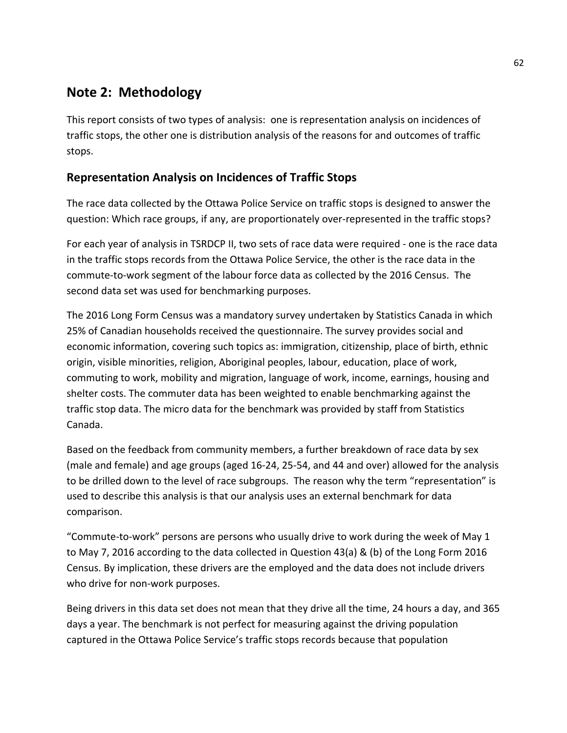## **Note 2: Methodology**

This report consists of two types of analysis: one is representation analysis on incidences of traffic stops, the other one is distribution analysis of the reasons for and outcomes of traffic stops.

#### **Representation Analysis on Incidences of Traffic Stops**

The race data collected by the Ottawa Police Service on traffic stops is designed to answer the question: Which race groups, if any, are proportionately over-represented in the traffic stops?

For each year of analysis in TSRDCP II, two sets of race data were required - one is the race data in the traffic stops records from the Ottawa Police Service, the other is the race data in the commute-to-work segment of the labour force data as collected by the 2016 Census. The second data set was used for benchmarking purposes.

<span id="page-61-1"></span><span id="page-61-0"></span>The 2016 Long Form Census was a mandatory survey undertaken by Statistics Canada in which 25% of Canadian households received the questionnaire. The survey provides social and economic information, covering such topics as: immigration, citizenship, place of birth, ethnic origin, visible minorities, religion, Aboriginal peoples, labour, education, place of work, commuting to work, mobility and migration, language of work, income, earnings, housing and shelter costs. The commuter data has been weighted to enable benchmarking against the traffic stop data. The micro data for the benchmark was provided by staff from Statistics Canada.

Based on the feedback from community members, a further breakdown of race data by sex (male and female) and age groups (aged 16-24, 25-54, and 44 and over) allowed for the analysis to be drilled down to the level of race subgroups. The reason why the term "representation" is used to describe this analysis is that our analysis uses an external benchmark for data comparison.

"Commute-to-work" persons are persons who usually drive to work during the week of May 1 to May 7, 2016 according to the data collected in Question 43(a) & (b) of the Long Form 2016 Census. By implication, these drivers are the employed and the data does not include drivers who drive for non-work purposes.

Being drivers in this data set does not mean that they drive all the time, 24 hours a day, and 365 days a year. The benchmark is not perfect for measuring against the driving population captured in the Ottawa Police Service's traffic stops records because that population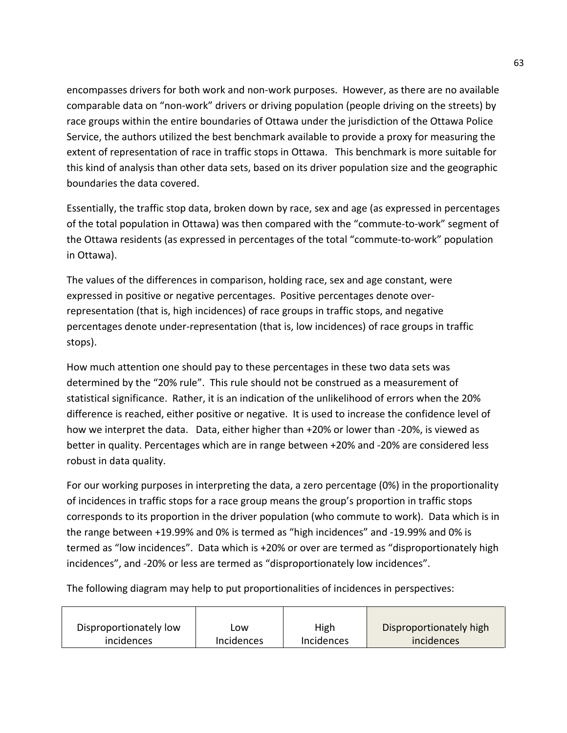encompasses drivers for both work and non-work purposes. However, as there are no available comparable data on "non-work" drivers or driving population (people driving on the streets) by race groups within the entire boundaries of Ottawa under the jurisdiction of the Ottawa Police Service, the authors utilized the best benchmark available to provide a proxy for measuring the extent of representation of race in traffic stops in Ottawa. This benchmark is more suitable for this kind of analysis than other data sets, based on its driver population size and the geographic boundaries the data covered.

Essentially, the traffic stop data, broken down by race, sex and age (as expressed in percentages of the total population in Ottawa) was then compared with the "commute-to-work" segment of the Ottawa residents (as expressed in percentages of the total "commute-to-work" population in Ottawa).

The values of the differences in comparison, holding race, sex and age constant, were expressed in positive or negative percentages. Positive percentages denote overrepresentation (that is, high incidences) of race groups in traffic stops, and negative percentages denote under-representation (that is, low incidences) of race groups in traffic stops).

<span id="page-62-0"></span>How much attention one should pay to these percentages in these two data sets was determined by the "20% rule". This rule should not be construed as a measurement of statistical significance. Rather, it is an indication of the unlikelihood of errors when the 20% difference is reached, either positive or negative. It is used to increase the confidence level of how we interpret the data. Data, either higher than +20% or lower than -20%, is viewed as better in quality. Percentages which are in range between +20% and -20% are considered less robust in data quality.

<span id="page-62-1"></span>For our working purposes in interpreting the data, a zero percentage (0%) in the proportionality of incidences in traffic stops for a race group means the group's proportion in traffic stops corresponds to its proportion in the driver population (who commute to work). Data which is in the range between +19.99% and 0% is termed as "high incidences" and -19.99% and 0% is termed as "low incidences". Data which is +20% or over are termed as "disproportionately high incidences", and -20% or less are termed as "disproportionately low incidences".

The following diagram may help to put proportionalities of incidences in perspectives:

| Disproportionately low | .ow               | High       | Disproportionately high |
|------------------------|-------------------|------------|-------------------------|
| incidences             | <b>Incidences</b> | Incidences | incidences              |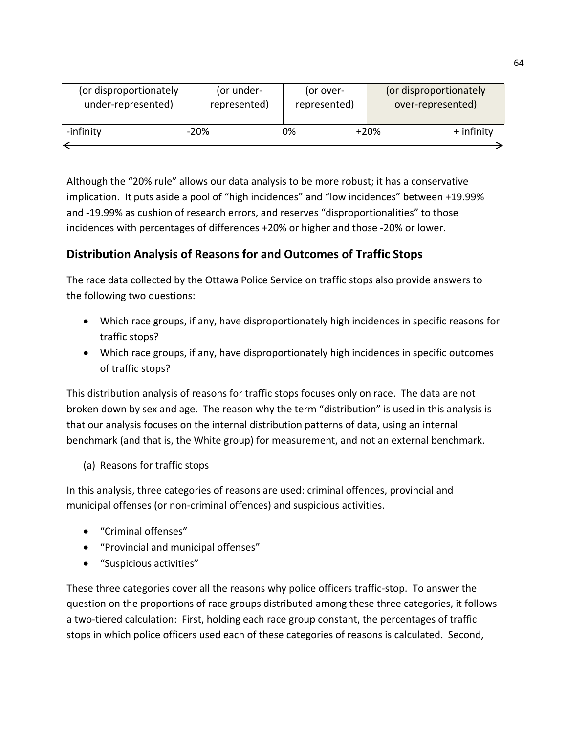| (or disproportionately) | (or under-   | (or over-    | (or disproportionately |
|-------------------------|--------------|--------------|------------------------|
| under-represented)      | represented) | represented) | over-represented)      |
| -infinity               | $-20%$       | 0%           | $+$ infinity<br>$+20%$ |

Although the "20% rule" allows our data analysis to be more robust; it has a conservative implication. It puts aside a pool of "high incidences" and "low incidences" between +19.99% and -19.99% as cushion of research errors, and reserves "disproportionalities" to those incidences with percentages of differences +20% or higher and those -20% or lower.

## **Distribution Analysis of Reasons for and Outcomes of Traffic Stops**

The race data collected by the Ottawa Police Service on traffic stops also provide answers to the following two questions:

- Which race groups, if any, have disproportionately high incidences in specific reasons for traffic stops?
- Which race groups, if any, have disproportionately high incidences in specific outcomes of traffic stops?

This distribution analysis of reasons for traffic stops focuses only on race. The data are not broken down by sex and age. The reason why the term "distribution" is used in this analysis is that our analysis focuses on the internal distribution patterns of data, using an internal benchmark (and that is, the White group) for measurement, and not an external benchmark.

(a) Reasons for traffic stops

<span id="page-63-1"></span><span id="page-63-0"></span>In this analysis, three categories of reasons are used: criminal offences, provincial and municipal offenses (or non-criminal offences) and suspicious activities.

- "Criminal offenses"
- "Provincial and municipal offenses"
- "Suspicious activities"

These three categories cover all the reasons why police officers traffic-stop. To answer the question on the proportions of race groups distributed among these three categories, it follows a two-tiered calculation: First, holding each race group constant, the percentages of traffic stops in which police officers used each of these categories of reasons is calculated. Second,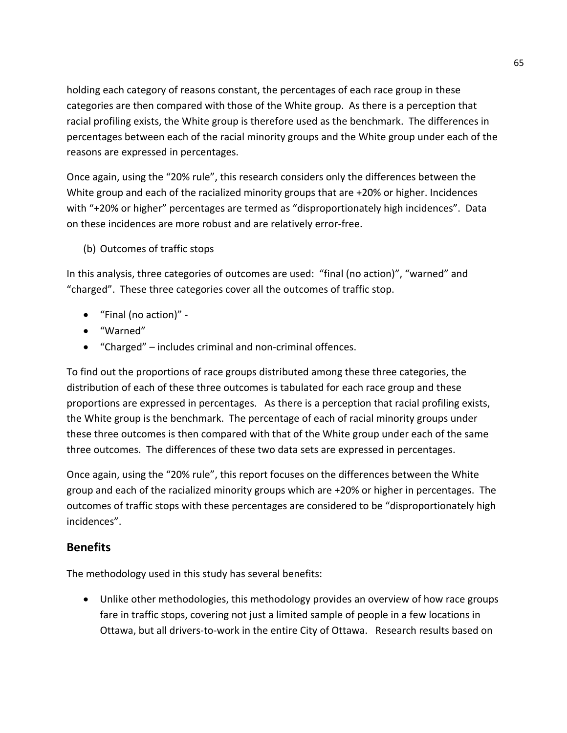holding each category of reasons constant, the percentages of each race group in these categories are then compared with those of the White group. As there is a perception that racial profiling exists, the White group is therefore used as the benchmark. The differences in percentages between each of the racial minority groups and the White group under each of the reasons are expressed in percentages.

Once again, using the "20% rule", this research considers only the differences between the White group and each of the racialized minority groups that are +20% or higher. Incidences with "+20% or higher" percentages are termed as "disproportionately high incidences". Data on these incidences are more robust and are relatively error-free.

(b) Outcomes of traffic stops

In this analysis, three categories of outcomes are used: "final (no action)", "warned" and "charged". These three categories cover all the outcomes of traffic stop.

- "Final (no action)" -
- "Warned"
- "Charged" includes criminal and non-criminal offences.

To find out the proportions of race groups distributed among these three categories, the distribution of each of these three outcomes is tabulated for each race group and these proportions are expressed in percentages. As there is a perception that racial profiling exists, the White group is the benchmark. The percentage of each of racial minority groups under these three outcomes is then compared with that of the White group under each of the same three outcomes. The differences of these two data sets are expressed in percentages.

Once again, using the "20% rule", this report focuses on the differences between the White group and each of the racialized minority groups which are +20% or higher in percentages. The outcomes of traffic stops with these percentages are considered to be "disproportionately high incidences".

#### **Benefits**

The methodology used in this study has several benefits:

• Unlike other methodologies, this methodology provides an overview of how race groups fare in traffic stops, covering not just a limited sample of people in a few locations in Ottawa, but all drivers-to-work in the entire City of Ottawa. Research results based on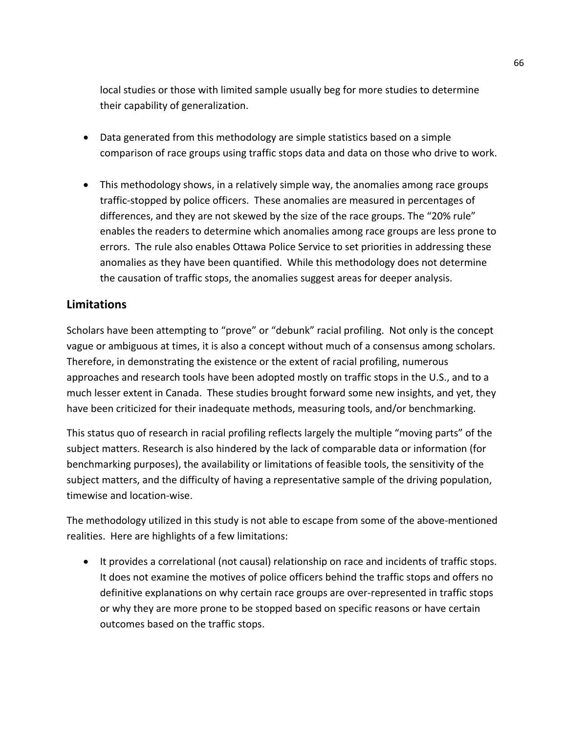local studies or those with limited sample usually beg for more studies to determine their capability of generalization.

- Data generated from this methodology are simple statistics based on a simple comparison of race groups using traffic stops data and data on those who drive to work.
- This methodology shows, in a relatively simple way, the anomalies among race groups traffic-stopped by police officers. These anomalies are measured in percentages of differences, and they are not skewed by the size of the race groups. The "20% rule" enables the readers to determine which anomalies among race groups are less prone to errors. The rule also enables Ottawa Police Service to set priorities in addressing these anomalies as they have been quantified. While this methodology does not determine the causation of traffic stops, the anomalies suggest areas for deeper analysis.

#### **Limitations**

Scholars have been attempting to "prove" or "debunk" racial profiling. Not only is the concept vague or ambiguous at times, it is also a concept without much of a consensus among scholars. Therefore, in demonstrating the existence or the extent of racial profiling, numerous approaches and research tools have been adopted mostly on traffic stops in the U.S., and to a much lesser extent in Canada. These studies brought forward some new insights, and yet, they have been criticized for their inadequate methods, measuring tools, and/or benchmarking.

This status quo of research in racial profiling reflects largely the multiple "moving parts" of the subject matters. Research is also hindered by the lack of comparable data or information (for benchmarking purposes), the availability or limitations of feasible tools, the sensitivity of the subject matters, and the difficulty of having a representative sample of the driving population, timewise and location-wise.

The methodology utilized in this study is not able to escape from some of the above-mentioned realities. Here are highlights of a few limitations:

• It provides a correlational (not causal) relationship on race and incidents of traffic stops. It does not examine the motives of police officers behind the traffic stops and offers no definitive explanations on why certain race groups are over-represented in traffic stops or why they are more prone to be stopped based on specific reasons or have certain outcomes based on the traffic stops.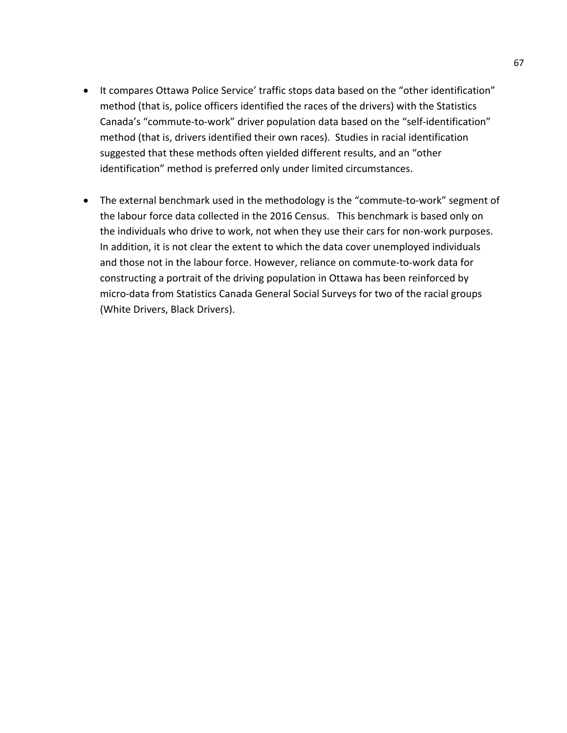- It compares Ottawa Police Service' traffic stops data based on the "other identification" method (that is, police officers identified the races of the drivers) with the Statistics Canada's "commute-to-work" driver population data based on the "self-identification" method (that is, drivers identified their own races). Studies in racial identification suggested that these methods often yielded different results, and an "other identification" method is preferred only under limited circumstances.
- The external benchmark used in the methodology is the "commute-to-work" segment of the labour force data collected in the 2016 Census. This benchmark is based only on the individuals who drive to work, not when they use their cars for non-work purposes. In addition, it is not clear the extent to which the data cover unemployed individuals and those not in the labour force. However, reliance on commute-to-work data for constructing a portrait of the driving population in Ottawa has been reinforced by micro-data from Statistics Canada General Social Surveys for two of the racial groups (White Drivers, Black Drivers).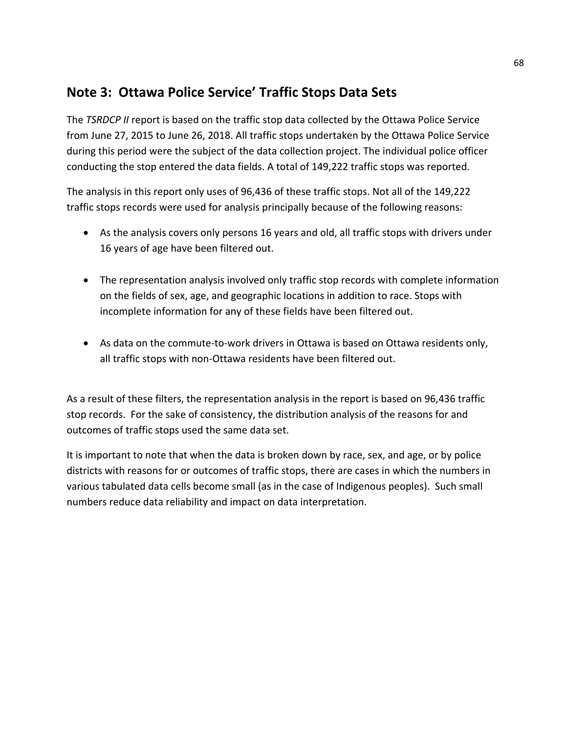## **Note 3: Ottawa Police Service' Traffic Stops Data Sets**

The *TSRDCP II* report is based on the traffic stop data collected by the Ottawa Police Service from June 27, 2015 to June 26, 2018. All traffic stops undertaken by the Ottawa Police Service during this period were the subject of the data collection project. The individual police officer conducting the stop entered the data fields. A total of 149,222 traffic stops was reported.

The analysis in this report only uses of 96,436 of these traffic stops. Not all of the 149,222 traffic stops records were used for analysis principally because of the following reasons:

- As the analysis covers only persons 16 years and old, all traffic stops with drivers under 16 years of age have been filtered out.
- The representation analysis involved only traffic stop records with complete information on the fields of sex, age, and geographic locations in addition to race. Stops with incomplete information for any of these fields have been filtered out.
- As data on the commute-to-work drivers in Ottawa is based on Ottawa residents only, all traffic stops with non-Ottawa residents have been filtered out.

As a result of these filters, the representation analysis in the report is based on 96,436 traffic stop records. For the sake of consistency, the distribution analysis of the reasons for and outcomes of traffic stops used the same data set.

It is important to note that when the data is broken down by race, sex, and age, or by police districts with reasons for or outcomes of traffic stops, there are cases in which the numbers in various tabulated data cells become small (as in the case of Indigenous peoples). Such small numbers reduce data reliability and impact on data interpretation.